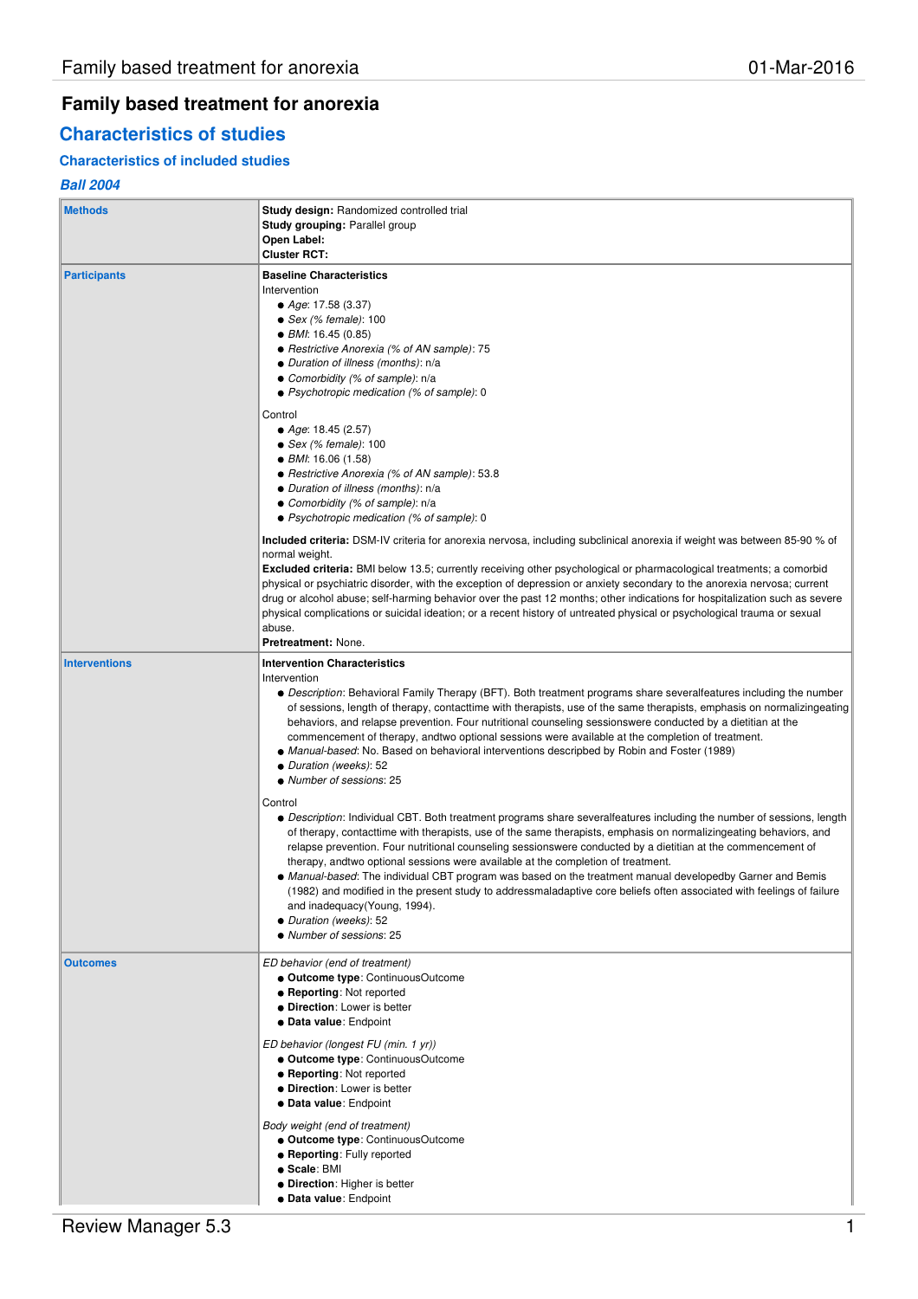# **Family based treatment for anorexia**

# **Characteristics of studies**

# **Characteristics of included studies**

# **Ball 2004**

| <b>Methods</b>       | Study design: Randomized controlled trial<br><b>Study grouping: Parallel group</b>                                                                                                                                                                                                                                                                                                                                                                                                                                                                                                                                                                                                                                                                                                      |
|----------------------|-----------------------------------------------------------------------------------------------------------------------------------------------------------------------------------------------------------------------------------------------------------------------------------------------------------------------------------------------------------------------------------------------------------------------------------------------------------------------------------------------------------------------------------------------------------------------------------------------------------------------------------------------------------------------------------------------------------------------------------------------------------------------------------------|
|                      | Open Label:<br><b>Cluster RCT:</b>                                                                                                                                                                                                                                                                                                                                                                                                                                                                                                                                                                                                                                                                                                                                                      |
| <b>Participants</b>  | <b>Baseline Characteristics</b><br>Intervention<br>• Age: 17.58 $(3.37)$<br>• Sex (% female): $100$<br>$\bullet$ <i>BMI</i> : 16.45 (0.85)<br>• Restrictive Anorexia (% of AN sample): 75<br>• Duration of illness (months): n/a<br>• Comorbidity (% of sample): n/a<br>• Psychotropic medication (% of sample): 0                                                                                                                                                                                                                                                                                                                                                                                                                                                                      |
|                      | Control<br>• Age: 18.45 (2.57)<br>• Sex (% female): $100$<br>$\bullet$ <i>BMI</i> : 16.06 (1.58)<br>• Restrictive Anorexia (% of AN sample): 53.8<br>• Duration of illness (months): n/a<br>• Comorbidity (% of sample): n/a<br>• Psychotropic medication (% of sample): 0                                                                                                                                                                                                                                                                                                                                                                                                                                                                                                              |
|                      | <b>Included criteria:</b> DSM-IV criteria for anorexia nervosa, including subclinical anorexia if weight was between 85-90 % of<br>normal weight.<br><b>Excluded criteria:</b> BMI below 13.5; currently receiving other psychological or pharmacological treatments; a comorbid<br>physical or psychiatric disorder, with the exception of depression or anxiety secondary to the anorexia nervosa; current<br>drug or alcohol abuse; self-harming behavior over the past 12 months; other indications for hospitalization such as severe<br>physical complications or suicidal ideation; or a recent history of untreated physical or psychological trauma or sexual<br>abuse.<br>Pretreatment: None.                                                                                 |
| <b>Interventions</b> | <b>Intervention Characteristics</b><br>Intervention<br>• Description: Behavioral Family Therapy (BFT). Both treatment programs share severalfeatures including the number<br>of sessions, length of therapy, contacttime with therapists, use of the same therapists, emphasis on normalizingeating<br>behaviors, and relapse prevention. Four nutritional counseling sessionswere conducted by a dietitian at the<br>commencement of therapy, and two optional sessions were available at the completion of treatment.<br>• Manual-based: No. Based on behavioral interventions descripbed by Robin and Foster (1989)<br>• Duration (weeks): 52<br>• Number of sessions: 25                                                                                                            |
|                      | Control<br>• Description: Individual CBT. Both treatment programs share severalfeatures including the number of sessions, length<br>of therapy, contacttime with therapists, use of the same therapists, emphasis on normalizingeating behaviors, and<br>relapse prevention. Four nutritional counseling sessionswere conducted by a dietitian at the commencement of<br>therapy, and two optional sessions were available at the completion of treatment.<br>• Manual-based: The individual CBT program was based on the treatment manual developedby Garner and Bemis<br>(1982) and modified in the present study to addressmaladaptive core beliefs often associated with feelings of failure<br>and inadequacy (Young, 1994).<br>• Duration (weeks): 52<br>• Number of sessions: 25 |
| <b>Outcomes</b>      | ED behavior (end of treatment)<br>• Outcome type: ContinuousOutcome<br>• Reporting: Not reported<br>• Direction: Lower is better<br>· Data value: Endpoint<br>ED behavior (longest FU (min. 1 yr))<br>• Outcome type: ContinuousOutcome<br>• Reporting: Not reported<br>• Direction: Lower is better<br>· Data value: Endpoint<br>Body weight (end of treatment)<br>• Outcome type: ContinuousOutcome<br>• Reporting: Fully reported<br>• Scale: BMI<br>• Direction: Higher is better<br>· Data value: Endpoint                                                                                                                                                                                                                                                                         |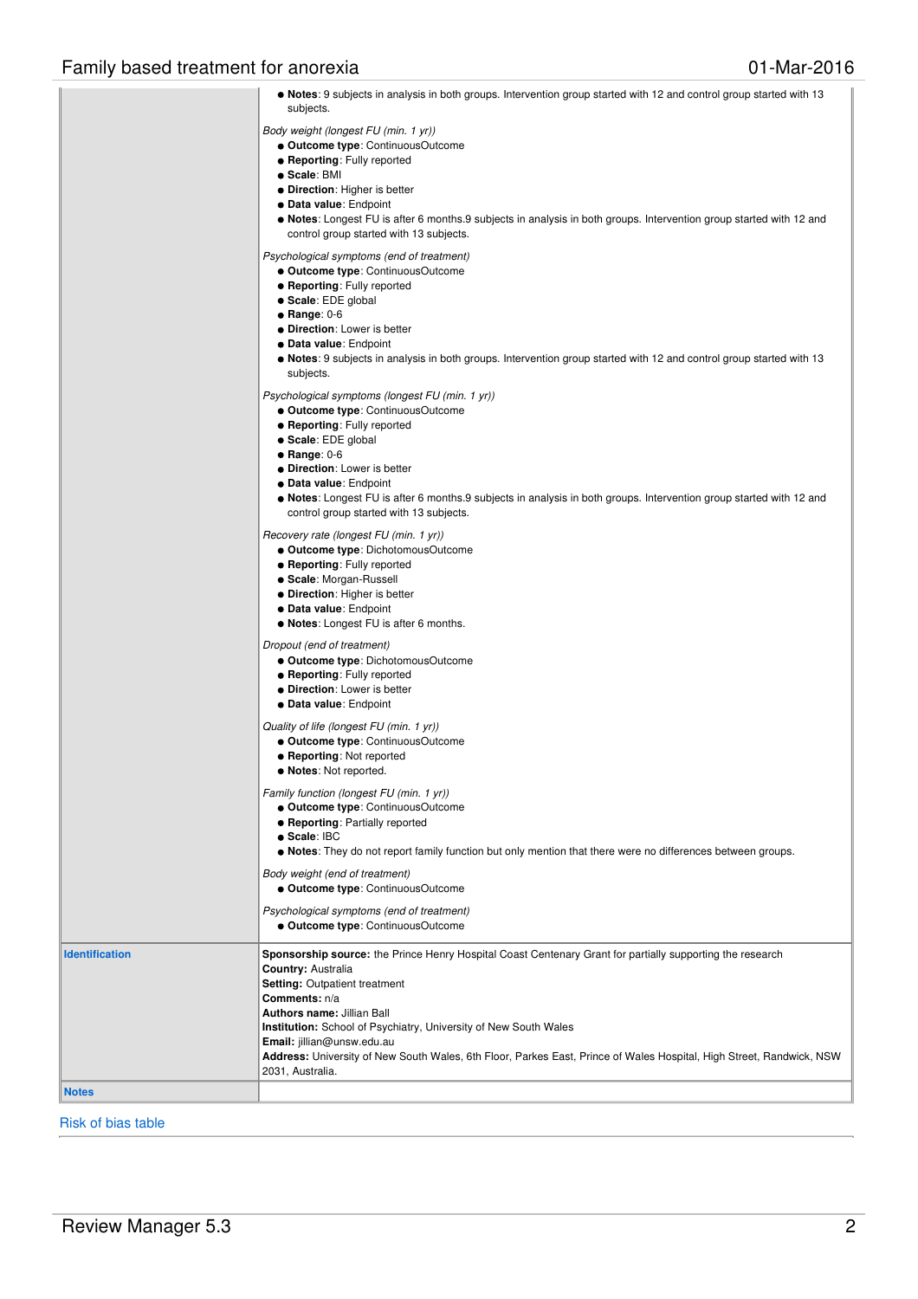# Family based treatment for anorexia **contract the example of the COS** 01-Mar-2016

|                       | • Notes: 9 subjects in analysis in both groups. Intervention group started with 12 and control group started with 13<br>subjects.             |
|-----------------------|-----------------------------------------------------------------------------------------------------------------------------------------------|
|                       | Body weight (longest FU (min. 1 yr))                                                                                                          |
|                       | • Outcome type: ContinuousOutcome                                                                                                             |
|                       | • Reporting: Fully reported                                                                                                                   |
|                       | • Scale: BMI                                                                                                                                  |
|                       | • Direction: Higher is better                                                                                                                 |
|                       | • Data value: Endpoint<br>• Notes: Longest FU is after 6 months.9 subjects in analysis in both groups. Intervention group started with 12 and |
|                       | control group started with 13 subjects.                                                                                                       |
|                       | Psychological symptoms (end of treatment)                                                                                                     |
|                       | · Outcome type: ContinuousOutcome                                                                                                             |
|                       | • Reporting: Fully reported                                                                                                                   |
|                       | • Scale: EDE global<br>$\bullet$ Range: 0-6                                                                                                   |
|                       | • Direction: Lower is better                                                                                                                  |
|                       | • Data value: Endpoint                                                                                                                        |
|                       | • Notes: 9 subjects in analysis in both groups. Intervention group started with 12 and control group started with 13                          |
|                       | subjects.                                                                                                                                     |
|                       | Psychological symptoms (longest FU (min. 1 yr))                                                                                               |
|                       | · Outcome type: ContinuousOutcome                                                                                                             |
|                       | <b>• Reporting: Fully reported</b>                                                                                                            |
|                       | • Scale: EDE global                                                                                                                           |
|                       | $\bullet$ Range: 0-6                                                                                                                          |
|                       | • Direction: Lower is better<br>• Data value: Endpoint                                                                                        |
|                       | • Notes: Longest FU is after 6 months.9 subjects in analysis in both groups. Intervention group started with 12 and                           |
|                       | control group started with 13 subjects.                                                                                                       |
|                       | Recovery rate (longest FU (min. 1 yr))                                                                                                        |
|                       | • Outcome type: DichotomousOutcome                                                                                                            |
|                       | • Reporting: Fully reported                                                                                                                   |
|                       | • Scale: Morgan-Russell<br>• Direction: Higher is better                                                                                      |
|                       | · Data value: Endpoint                                                                                                                        |
|                       | • Notes: Longest FU is after 6 months.                                                                                                        |
|                       | Dropout (end of treatment)                                                                                                                    |
|                       | • Outcome type: DichotomousOutcome                                                                                                            |
|                       | • Reporting: Fully reported                                                                                                                   |
|                       | <b>.</b> Direction: Lower is better                                                                                                           |
|                       | • Data value: Endpoint                                                                                                                        |
|                       | Quality of life (longest FU (min. 1 yr))                                                                                                      |
|                       | • Outcome type: ContinuousOutcome                                                                                                             |
|                       | • Reporting: Not reported<br>• Notes: Not reported.                                                                                           |
|                       | Family function (longest FU (min. 1 yr))                                                                                                      |
|                       | · Outcome type: ContinuousOutcome                                                                                                             |
|                       | <b>• Reporting: Partially reported</b>                                                                                                        |
|                       | ● Scale: IBC<br>• Notes: They do not report family function but only mention that there were no differences between groups.                   |
|                       |                                                                                                                                               |
|                       | Body weight (end of treatment)<br>· Outcome type: ContinuousOutcome                                                                           |
|                       | Psychological symptoms (end of treatment)<br>· Outcome type: ContinuousOutcome                                                                |
| <b>Identification</b> | Sponsorship source: the Prince Henry Hospital Coast Centenary Grant for partially supporting the research                                     |
|                       | <b>Country: Australia</b>                                                                                                                     |
|                       | Setting: Outpatient treatment                                                                                                                 |
|                       | <b>Comments:</b> n/a                                                                                                                          |
|                       | Authors name: Jillian Ball                                                                                                                    |
|                       | <b>Institution:</b> School of Psychiatry, University of New South Wales<br>Email: jillian@unsw.edu.au                                         |
|                       | Address: University of New South Wales, 6th Floor, Parkes East, Prince of Wales Hospital, High Street, Randwick, NSW                          |
|                       | 2031, Australia.                                                                                                                              |
| <b>Notes</b>          |                                                                                                                                               |
|                       |                                                                                                                                               |

Risk of bias table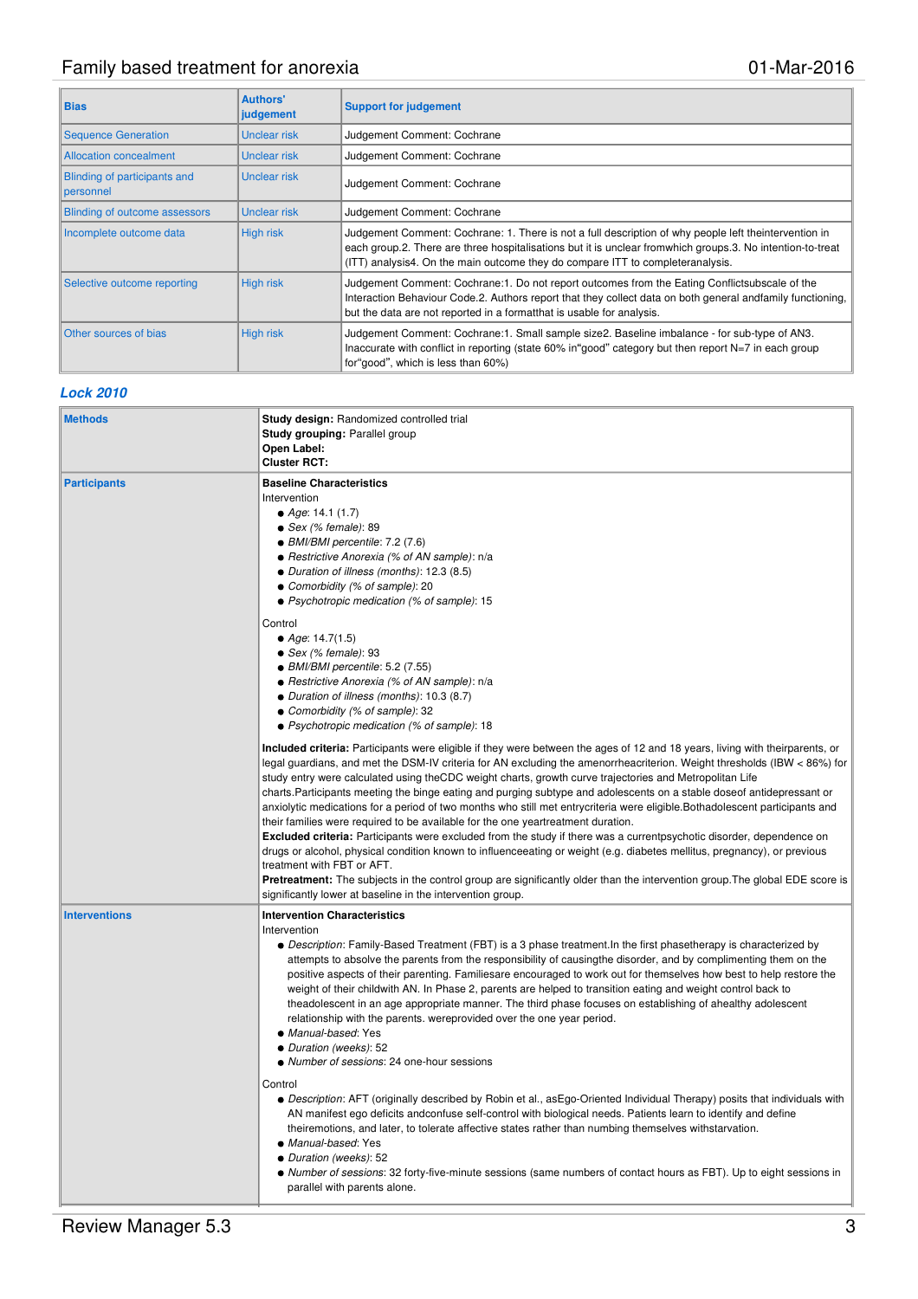# Family based treatment for anorexia **contact and the Contact Contact Contact Contact Contact Contact Contact Contact Contact Contact Contact Contact Contact Contact Contact Contact Contact Contact Contact Contact Contact C**

| <b>Bias</b>                               | Authors'<br>judgement | <b>Support for judgement</b>                                                                                                                                                                                                                                                                           |  |  |  |
|-------------------------------------------|-----------------------|--------------------------------------------------------------------------------------------------------------------------------------------------------------------------------------------------------------------------------------------------------------------------------------------------------|--|--|--|
| <b>Sequence Generation</b>                | Unclear risk          | Judgement Comment: Cochrane                                                                                                                                                                                                                                                                            |  |  |  |
| <b>Allocation concealment</b>             | Unclear risk          | Judgement Comment: Cochrane                                                                                                                                                                                                                                                                            |  |  |  |
| Blinding of participants and<br>personnel | Unclear risk          | Judgement Comment: Cochrane                                                                                                                                                                                                                                                                            |  |  |  |
| <b>Blinding of outcome assessors</b>      | <b>Unclear risk</b>   | Judgement Comment: Cochrane                                                                                                                                                                                                                                                                            |  |  |  |
| Incomplete outcome data                   | High risk             | Judgement Comment: Cochrane: 1. There is not a full description of why people left the intervention in<br>each group.2. There are three hospitalisations but it is unclear fromwhich groups.3. No intention-to-treat<br>(ITT) analysis4. On the main outcome they do compare ITT to completeranalysis. |  |  |  |
| Selective outcome reporting               | High risk             | Judgement Comment: Cochrane: 1. Do not report outcomes from the Eating Conflictsubscale of the<br>Interaction Behaviour Code.2. Authors report that they collect data on both general andfamily functioning,<br>but the data are not reported in a formatthat is usable for analysis.                  |  |  |  |
| Other sources of bias                     | High risk             | Judgement Comment: Cochrane:1. Small sample size2. Baseline imbalance - for sub-type of AN3.<br>Inaccurate with conflict in reporting (state $60\%$ in "good" category but then report N=7 in each group<br>for "good", which is less than 60%)                                                        |  |  |  |

# **Lock 2010**

| <b>Methods</b>       | Study design: Randomized controlled trial<br>Study grouping: Parallel group<br>Open Label:<br><b>Cluster RCT:</b>                                                                                                                                                                                                                                                                                                                                                                                                                                                                                                                                                                                                                                                                                                                                                                                                                                                                                                                                                                                                                                                                                        |  |  |  |  |
|----------------------|----------------------------------------------------------------------------------------------------------------------------------------------------------------------------------------------------------------------------------------------------------------------------------------------------------------------------------------------------------------------------------------------------------------------------------------------------------------------------------------------------------------------------------------------------------------------------------------------------------------------------------------------------------------------------------------------------------------------------------------------------------------------------------------------------------------------------------------------------------------------------------------------------------------------------------------------------------------------------------------------------------------------------------------------------------------------------------------------------------------------------------------------------------------------------------------------------------|--|--|--|--|
| <b>Participants</b>  | <b>Baseline Characteristics</b><br>Intervention<br>• Age: 14.1 $(1.7)$<br>$\bullet$ Sex (% female): 89<br>$\bullet$ BMI/BMI percentile: 7.2 (7.6)<br>• Restrictive Anorexia (% of AN sample): n/a<br>• Duration of illness (months): 12.3 (8.5)<br>• Comorbidity (% of sample): 20<br>• Psychotropic medication (% of sample): 15                                                                                                                                                                                                                                                                                                                                                                                                                                                                                                                                                                                                                                                                                                                                                                                                                                                                        |  |  |  |  |
|                      | Control<br>• Age: $14.7(1.5)$<br>• Sex $%$ female): 93<br>$\bullet$ BMI/BMI percentile: 5.2 (7.55)<br>• Restrictive Anorexia (% of AN sample): n/a<br>• Duration of illness (months): 10.3 (8.7)<br>• Comorbidity (% of sample): 32<br>• Psychotropic medication (% of sample): 18                                                                                                                                                                                                                                                                                                                                                                                                                                                                                                                                                                                                                                                                                                                                                                                                                                                                                                                       |  |  |  |  |
|                      | <b>Included criteria:</b> Participants were eligible if they were between the ages of 12 and 18 years, living with theirparents, or<br>legal guardians, and met the DSM-IV criteria for AN excluding the amenorrheacriterion. Weight thresholds (IBW < 86%) for<br>study entry were calculated using theCDC weight charts, growth curve trajectories and Metropolitan Life<br>charts. Participants meeting the binge eating and purging subtype and adolescents on a stable doseof antidepressant or<br>anxiolytic medications for a period of two months who still met entrycriteria were eligible. Bothadolescent participants and<br>their families were required to be available for the one yeartreatment duration.<br>Excluded criteria: Participants were excluded from the study if there was a currentpsychotic disorder, dependence on<br>drugs or alcohol, physical condition known to influenceeating or weight (e.g. diabetes mellitus, pregnancy), or previous<br>treatment with FBT or AFT.<br>Pretreatment: The subjects in the control group are significantly older than the intervention group. The global EDE score is<br>significantly lower at baseline in the intervention group. |  |  |  |  |
| <b>Interventions</b> | <b>Intervention Characteristics</b><br>Intervention<br>• Description: Family-Based Treatment (FBT) is a 3 phase treatment. In the first phasetherapy is characterized by<br>attempts to absolve the parents from the responsibility of causing the disorder, and by complimenting them on the<br>positive aspects of their parenting. Familiesare encouraged to work out for themselves how best to help restore the<br>weight of their childwith AN. In Phase 2, parents are helped to transition eating and weight control back to<br>theadolescent in an age appropriate manner. The third phase focuses on establishing of ahealthy adolescent<br>relationship with the parents. wereprovided over the one year period.<br>• Manual-based: Yes<br>• Duration (weeks): 52<br>• Number of sessions: 24 one-hour sessions                                                                                                                                                                                                                                                                                                                                                                               |  |  |  |  |
|                      | Control<br>• Description: AFT (originally described by Robin et al., asEgo-Oriented Individual Therapy) posits that individuals with<br>AN manifest ego deficits andconfuse self-control with biological needs. Patients learn to identify and define<br>theiremotions, and later, to tolerate affective states rather than numbing themselves withstarvation.<br>• Manual-based: Yes<br>• Duration (weeks): 52<br>• Number of sessions: 32 forty-five-minute sessions (same numbers of contact hours as FBT). Up to eight sessions in<br>parallel with parents alone.                                                                                                                                                                                                                                                                                                                                                                                                                                                                                                                                                                                                                                   |  |  |  |  |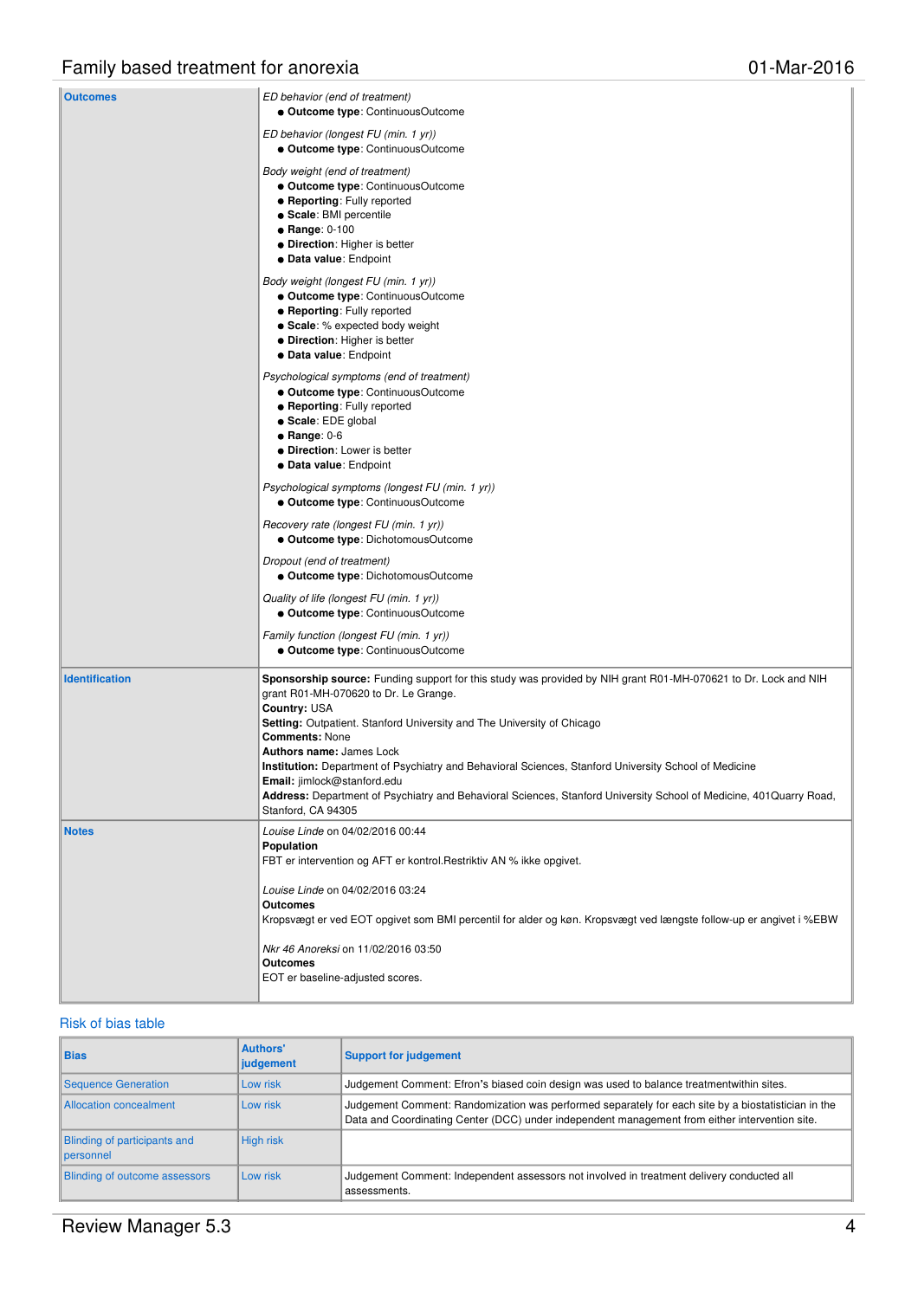# Family based treatment for anorexia **contract to the example of the COS** 01-Mar-2016

| <b>Outcomes</b>       | ED behavior (end of treatment)<br><b>. Outcome type: ContinuousOutcome</b>                                                                                                                                                                                                                                                                                                                                                                                                                                                                                                                |  |  |  |  |  |
|-----------------------|-------------------------------------------------------------------------------------------------------------------------------------------------------------------------------------------------------------------------------------------------------------------------------------------------------------------------------------------------------------------------------------------------------------------------------------------------------------------------------------------------------------------------------------------------------------------------------------------|--|--|--|--|--|
|                       | ED behavior (longest FU (min. 1 yr))<br>• Outcome type: ContinuousOutcome                                                                                                                                                                                                                                                                                                                                                                                                                                                                                                                 |  |  |  |  |  |
|                       | Body weight (end of treatment)<br>· Outcome type: ContinuousOutcome<br>• Reporting: Fully reported<br>• Scale: BMI percentile<br>$\bullet$ Range: 0-100<br>• Direction: Higher is better<br>· Data value: Endpoint                                                                                                                                                                                                                                                                                                                                                                        |  |  |  |  |  |
|                       | Body weight (longest FU (min. 1 yr))<br>• Outcome type: ContinuousOutcome<br>• Reporting: Fully reported<br>• Scale: % expected body weight<br>• Direction: Higher is better<br>· Data value: Endpoint                                                                                                                                                                                                                                                                                                                                                                                    |  |  |  |  |  |
|                       | Psychological symptoms (end of treatment)<br>· Outcome type: ContinuousOutcome<br>• Reporting: Fully reported<br>• Scale: EDE global<br>$\bullet$ Range: 0-6<br>• Direction: Lower is better<br>· Data value: Endpoint                                                                                                                                                                                                                                                                                                                                                                    |  |  |  |  |  |
|                       | Psychological symptoms (longest FU (min. 1 yr))<br>• Outcome type: ContinuousOutcome                                                                                                                                                                                                                                                                                                                                                                                                                                                                                                      |  |  |  |  |  |
|                       | Recovery rate (longest FU (min. 1 yr))<br>• Outcome type: DichotomousOutcome                                                                                                                                                                                                                                                                                                                                                                                                                                                                                                              |  |  |  |  |  |
|                       | Dropout (end of treatment)<br>• Outcome type: DichotomousOutcome                                                                                                                                                                                                                                                                                                                                                                                                                                                                                                                          |  |  |  |  |  |
|                       | Quality of life (longest FU (min. 1 yr))<br>• Outcome type: ContinuousOutcome                                                                                                                                                                                                                                                                                                                                                                                                                                                                                                             |  |  |  |  |  |
|                       | Family function (longest FU (min. 1 yr))<br>• Outcome type: ContinuousOutcome                                                                                                                                                                                                                                                                                                                                                                                                                                                                                                             |  |  |  |  |  |
| <b>Identification</b> | Sponsorship source: Funding support for this study was provided by NIH grant R01-MH-070621 to Dr. Lock and NIH<br>grant R01-MH-070620 to Dr. Le Grange.<br><b>Country: USA</b><br><b>Setting:</b> Outpatient. Stanford University and The University of Chicago<br><b>Comments: None</b><br><b>Authors name: James Lock</b><br>Institution: Department of Psychiatry and Behavioral Sciences, Stanford University School of Medicine<br>Email: jimlock@stanford.edu<br>Address: Department of Psychiatry and Behavioral Sciences, Stanford University School of Medicine, 401Quarry Road, |  |  |  |  |  |
| <b>Notes</b>          | Stanford, CA 94305<br>Louise Linde on 04/02/2016 00:44                                                                                                                                                                                                                                                                                                                                                                                                                                                                                                                                    |  |  |  |  |  |
|                       | Population<br>FBT er intervention og AFT er kontrol. Restriktiv AN % ikke opgivet.                                                                                                                                                                                                                                                                                                                                                                                                                                                                                                        |  |  |  |  |  |
|                       | Louise Linde on 04/02/2016 03:24<br><b>Outcomes</b><br>Kropsvægt er ved EOT opgivet som BMI percentil for alder og køn. Kropsvægt ved længste follow-up er angivet i %EBW                                                                                                                                                                                                                                                                                                                                                                                                                 |  |  |  |  |  |
|                       | Nkr 46 Anoreksi on 11/02/2016 03:50<br><b>Outcomes</b>                                                                                                                                                                                                                                                                                                                                                                                                                                                                                                                                    |  |  |  |  |  |
|                       | EOT er baseline-adjusted scores.                                                                                                                                                                                                                                                                                                                                                                                                                                                                                                                                                          |  |  |  |  |  |

## Risk of bias table

| <b>Bias</b>                                             | <b>Authors'</b><br>judgement | <b>Support for judgement</b>                                                                                                                                                                          |  |  |  |
|---------------------------------------------------------|------------------------------|-------------------------------------------------------------------------------------------------------------------------------------------------------------------------------------------------------|--|--|--|
| Sequence Generation                                     | Low risk                     | Judgement Comment: Efron's biased coin design was used to balance treatmentwithin sites.                                                                                                              |  |  |  |
| Allocation concealment                                  | Low risk                     | Judgement Comment: Randomization was performed separately for each site by a biostatistician in the<br>Data and Coordinating Center (DCC) under independent management from either intervention site. |  |  |  |
| <b>Blinding of participants and</b><br><b>Dersonnel</b> | High risk                    |                                                                                                                                                                                                       |  |  |  |
| <b>Blinding of outcome assessors</b>                    | Low risk                     | Judgement Comment: Independent assessors not involved in treatment delivery conducted all<br>assessments.                                                                                             |  |  |  |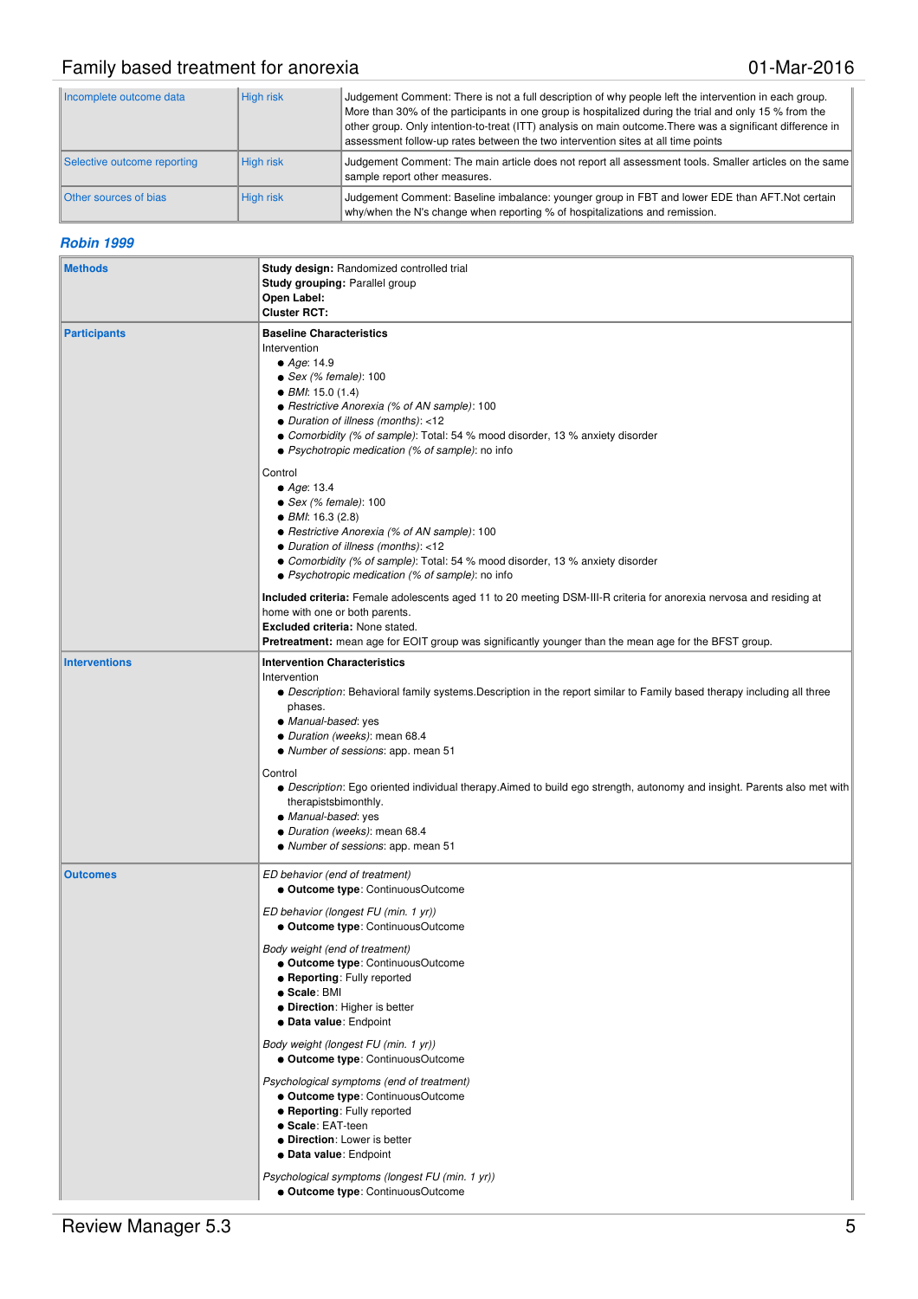# Family based treatment for anorexia **contract the example of the COS** 01-Mar-2016

| Incomplete outcome data     | High risk | Judgement Comment: There is not a full description of why people left the intervention in each group.<br>More than 30% of the participants in one group is hospitalized during the trial and only 15 % from the<br>other group. Only intention-to-treat (ITT) analysis on main outcome. There was a significant difference in<br>assessment follow-up rates between the two intervention sites at all time points |  |
|-----------------------------|-----------|-------------------------------------------------------------------------------------------------------------------------------------------------------------------------------------------------------------------------------------------------------------------------------------------------------------------------------------------------------------------------------------------------------------------|--|
| Selective outcome reporting | High risk | Judgement Comment: The main article does not report all assessment tools. Smaller articles on the same<br>sample report other measures.                                                                                                                                                                                                                                                                           |  |
| Other sources of bias       | High risk | Judgement Comment: Baseline imbalance: younger group in FBT and lower EDE than AFT. Not certain<br>why/when the N's change when reporting % of hospitalizations and remission.                                                                                                                                                                                                                                    |  |

### **Robin 1999**

| <b>Methods</b>       | <b>Study design: Randomized controlled trial</b><br><b>Study grouping: Parallel group</b><br>Open Label:                                                                                                                                                                                                                                                                                                                                                                                                                                                                                                                                                                                                            |  |  |  |
|----------------------|---------------------------------------------------------------------------------------------------------------------------------------------------------------------------------------------------------------------------------------------------------------------------------------------------------------------------------------------------------------------------------------------------------------------------------------------------------------------------------------------------------------------------------------------------------------------------------------------------------------------------------------------------------------------------------------------------------------------|--|--|--|
| <b>Participants</b>  | <b>Cluster RCT:</b><br><b>Baseline Characteristics</b><br>Intervention<br>$\bullet$ Age: 14.9<br>$\bullet$ Sex (% female): 100<br>$\bullet$ BMI: 15.0 (1.4)<br>• Restrictive Anorexia (% of AN sample): 100<br>• Duration of illness (months): <12<br>• Comorbidity (% of sample): Total: 54 % mood disorder, 13 % anxiety disorder<br>• Psychotropic medication (% of sample): no info<br>Control<br>• Age: 13.4<br>$\bullet$ Sex (% female): 100<br>$\bullet$ <i>BMI</i> : 16.3 (2.8)<br>• Restrictive Anorexia (% of AN sample): 100<br>• Duration of illness (months): <12<br>• Comorbidity (% of sample): Total: 54 % mood disorder, 13 % anxiety disorder<br>• Psychotropic medication (% of sample): no info |  |  |  |
|                      | <b>Included criteria:</b> Female adolescents aged 11 to 20 meeting DSM-III-R criteria for anorexia nervosa and residing at<br>home with one or both parents.<br><b>Excluded criteria: None stated.</b><br><b>Pretreatment:</b> mean age for EOIT group was significantly younger than the mean age for the BFST group.                                                                                                                                                                                                                                                                                                                                                                                              |  |  |  |
| <b>Interventions</b> | <b>Intervention Characteristics</b><br>Intervention<br>• Description: Behavioral family systems. Description in the report similar to Family based therapy including all three<br>phases.<br>• Manual-based: yes<br>• Duration (weeks): mean 68.4<br>• Number of sessions: app. mean 51<br>Control<br>• Description: Ego oriented individual therapy. Aimed to build ego strength, autonomy and insight. Parents also met with<br>therapistsbimonthly.<br>• Manual-based: yes<br>• Duration (weeks): mean 68.4<br>• Number of sessions: app. mean 51                                                                                                                                                                |  |  |  |
| <b>Outcomes</b>      | ED behavior (end of treatment)<br>· Outcome type: ContinuousOutcome<br>ED behavior (longest FU (min. 1 yr))<br>• Outcome type: ContinuousOutcome<br>Body weight (end of treatment)<br>· Outcome type: ContinuousOutcome<br>• Reporting: Fully reported<br>• Scale: BMI<br>• Direction: Higher is better<br>· Data value: Endpoint<br>Body weight (longest FU (min. 1 yr))<br>• Outcome type: ContinuousOutcome<br>Psychological symptoms (end of treatment)<br>• Outcome type: ContinuousOutcome<br><b>• Reporting: Fully reported</b><br>· Scale: EAT-teen<br>• Direction: Lower is better<br>· Data value: Endpoint<br>Psychological symptoms (longest FU (min. 1 yr))<br>· Outcome type: ContinuousOutcome       |  |  |  |
| Review Manager 5.3   | 5                                                                                                                                                                                                                                                                                                                                                                                                                                                                                                                                                                                                                                                                                                                   |  |  |  |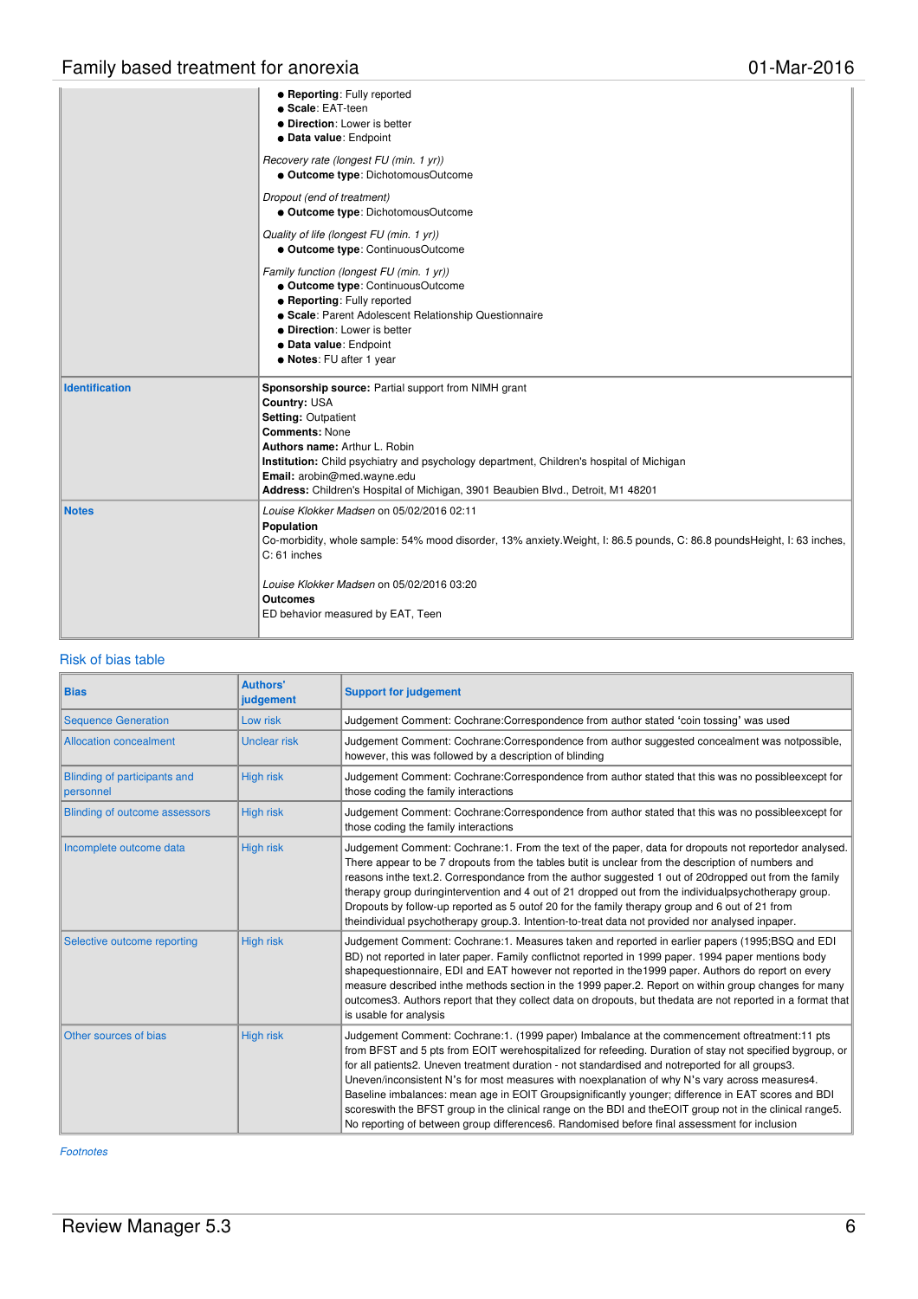# Family based treatment for anorexia **contract to the example of the COS** 01-Mar-2016

|                       | <b>• Reporting: Fully reported</b><br>• Scale: EAT-teen<br>• Direction: Lower is better<br>· Data value: Endpoint                                                                                                                                                                                                                                                          |
|-----------------------|----------------------------------------------------------------------------------------------------------------------------------------------------------------------------------------------------------------------------------------------------------------------------------------------------------------------------------------------------------------------------|
|                       | Recovery rate (longest FU (min. 1 yr))<br>· Outcome type: DichotomousOutcome                                                                                                                                                                                                                                                                                               |
|                       | Dropout (end of treatment)<br><b>. Outcome type: DichotomousOutcome</b>                                                                                                                                                                                                                                                                                                    |
|                       | Quality of life (longest FU (min. 1 yr))<br><b>. Outcome type: ContinuousOutcome</b>                                                                                                                                                                                                                                                                                       |
|                       | Family function (longest FU (min. 1 yr))<br><b>. Outcome type: ContinuousOutcome</b><br><b>• Reporting: Fully reported</b><br>· Scale: Parent Adolescent Relationship Questionnaire<br>• Direction: Lower is better<br>· Data value: Endpoint<br>· Notes: FU after 1 year                                                                                                  |
| <b>Identification</b> | Sponsorship source: Partial support from NIMH grant<br>Country: USA<br><b>Setting: Outpatient</b><br><b>Comments: None</b><br>Authors name: Arthur L. Robin<br>Institution: Child psychiatry and psychology department, Children's hospital of Michigan<br>Email: arobin@med.wayne.edu<br>Address: Children's Hospital of Michigan, 3901 Beaubien Blvd., Detroit, M1 48201 |
| <b>Notes</b>          | Louise Klokker Madsen on 05/02/2016 02:11<br>Population<br>Co-morbidity, whole sample: 54% mood disorder, 13% anxiety. Weight, I: 86.5 pounds, C: 86.8 poundsHeight, I: 63 inches,<br>C: 61 inches<br>Louise Klokker Madsen on 05/02/2016 03:20<br><b>Outcomes</b><br>ED behavior measured by EAT, Teen                                                                    |
|                       |                                                                                                                                                                                                                                                                                                                                                                            |

### Risk of bias table

| <b>Bias</b>                               | <b>Authors'</b><br>judgement | <b>Support for judgement</b>                                                                                                                                                                                                                                                                                                                                                                                                                                                                                                                                                                                                                                                                                                      |  |  |  |
|-------------------------------------------|------------------------------|-----------------------------------------------------------------------------------------------------------------------------------------------------------------------------------------------------------------------------------------------------------------------------------------------------------------------------------------------------------------------------------------------------------------------------------------------------------------------------------------------------------------------------------------------------------------------------------------------------------------------------------------------------------------------------------------------------------------------------------|--|--|--|
| <b>Sequence Generation</b>                | Low risk                     | Judgement Comment: Cochrane:Correspondence from author stated 'coin tossing' was used                                                                                                                                                                                                                                                                                                                                                                                                                                                                                                                                                                                                                                             |  |  |  |
| <b>Allocation concealment</b>             | <b>Unclear risk</b>          | Judgement Comment: Cochrane:Correspondence from author suggested concealment was notpossible,<br>however, this was followed by a description of blinding                                                                                                                                                                                                                                                                                                                                                                                                                                                                                                                                                                          |  |  |  |
| Blinding of participants and<br>personnel | High risk                    | Judgement Comment: Cochrane:Correspondence from author stated that this was no possibleexcept for<br>those coding the family interactions                                                                                                                                                                                                                                                                                                                                                                                                                                                                                                                                                                                         |  |  |  |
| <b>Blinding of outcome assessors</b>      | High risk                    | Judgement Comment: Cochrane:Correspondence from author stated that this was no possibleexcept for<br>those coding the family interactions                                                                                                                                                                                                                                                                                                                                                                                                                                                                                                                                                                                         |  |  |  |
| Incomplete outcome data                   | High risk                    | Judgement Comment: Cochrane:1. From the text of the paper, data for dropouts not reportedor analysed.<br>There appear to be 7 dropouts from the tables butit is unclear from the description of numbers and<br>reasons inthe text.2. Correspondance from the author suggested 1 out of 20dropped out from the family<br>therapy group during intervention and 4 out of 21 dropped out from the individual psychotherapy group.<br>Dropouts by follow-up reported as 5 outof 20 for the family therapy group and 6 out of 21 from<br>theindividual psychotherapy group.3. Intention-to-treat data not provided nor analysed inpaper.                                                                                               |  |  |  |
| Selective outcome reporting               | High risk                    | Judgement Comment: Cochrane:1. Measures taken and reported in earlier papers (1995;BSQ and EDI<br>BD) not reported in later paper. Family conflictnot reported in 1999 paper. 1994 paper mentions body<br>shapequestionnaire, EDI and EAT however not reported in the 1999 paper. Authors do report on every<br>measure described in the methods section in the 1999 paper.2. Report on within group changes for many<br>outcomes3. Authors report that they collect data on dropouts, but thedata are not reported in a format that<br>is usable for analysis                                                                                                                                                                    |  |  |  |
| Other sources of bias                     | <b>High risk</b>             | Judgement Comment: Cochrane:1. (1999 paper) Imbalance at the commencement oftreatment:11 pts<br>from BFST and 5 pts from EOIT werehospitalized for refeeding. Duration of stay not specified bygroup, or<br>for all patients2. Uneven treatment duration - not standardised and notreported for all groups3.<br>Uneven/inconsistent N's for most measures with noexplanation of why N's vary across measures4.<br>Baseline imbalances: mean age in EOIT Groupsignificantly younger; difference in EAT scores and BDI<br>scoreswith the BFST group in the clinical range on the BDI and the EOIT group not in the clinical range5.<br>No reporting of between group differences6. Randomised before final assessment for inclusion |  |  |  |

Footnotes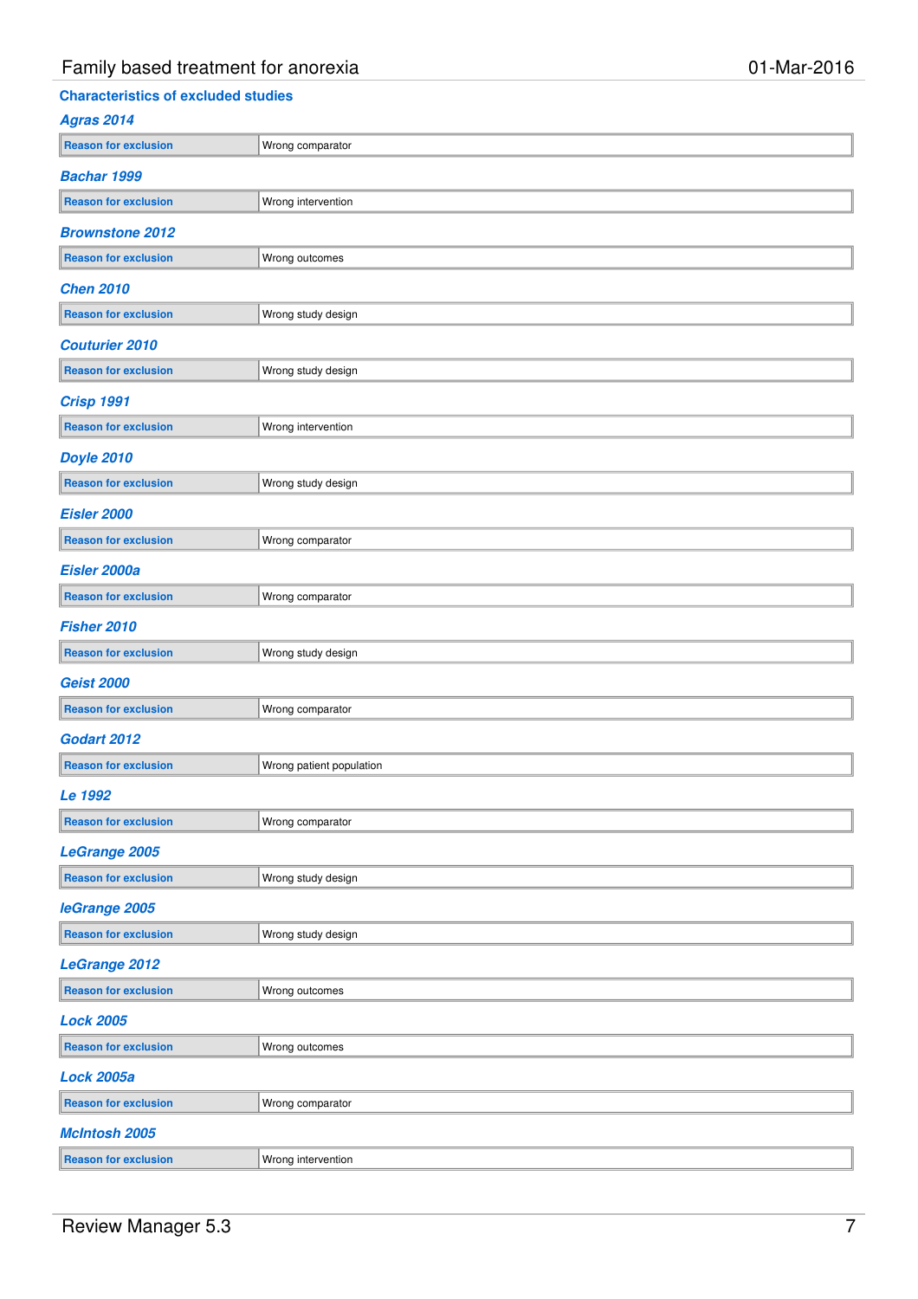# Family based treatment for anorexia example of the control of the 101-Mar-2016

# **Characteristics of excluded studies**

| <b>Agras 2014</b>           |                          |
|-----------------------------|--------------------------|
| <b>Reason for exclusion</b> | Wrong comparator         |
| Bachar 1999                 |                          |
| <b>Reason for exclusion</b> | Wrong intervention       |
| <b>Brownstone 2012</b>      |                          |
| <b>Reason for exclusion</b> | Wrong outcomes           |
| <b>Chen 2010</b>            |                          |
| <b>Reason for exclusion</b> | Wrong study design       |
| <b>Couturier 2010</b>       |                          |
| <b>Reason for exclusion</b> | Wrong study design       |
| <b>Crisp 1991</b>           |                          |
| <b>Reason for exclusion</b> | Wrong intervention       |
| <b>Doyle 2010</b>           |                          |
| <b>Reason for exclusion</b> | Wrong study design       |
| <b>Eisler 2000</b>          |                          |
| <b>Reason for exclusion</b> | Wrong comparator         |
| Eisler 2000a                |                          |
| <b>Reason for exclusion</b> | Wrong comparator         |
| <b>Fisher 2010</b>          |                          |
| <b>Reason for exclusion</b> | Wrong study design       |
| <b>Geist 2000</b>           |                          |
| <b>Reason for exclusion</b> | Wrong comparator         |
| Godart 2012                 |                          |
| <b>Reason for exclusion</b> | Wrong patient population |
| Le 1992                     |                          |
| <b>Reason for exclusion</b> | Wrong comparator         |
| LeGrange 2005               |                          |
| <b>Reason for exclusion</b> | Wrong study design       |
| leGrange 2005               |                          |
| <b>Reason for exclusion</b> | Wrong study design       |
| <b>LeGrange 2012</b>        |                          |
| <b>Reason for exclusion</b> | Wrong outcomes           |
| <b>Lock 2005</b>            |                          |
| <b>Reason for exclusion</b> | Wrong outcomes           |
| <b>Lock 2005a</b>           |                          |
| <b>Reason for exclusion</b> | Wrong comparator         |
| <b>McIntosh 2005</b>        |                          |
| <b>Reason for exclusion</b> | Wrong intervention       |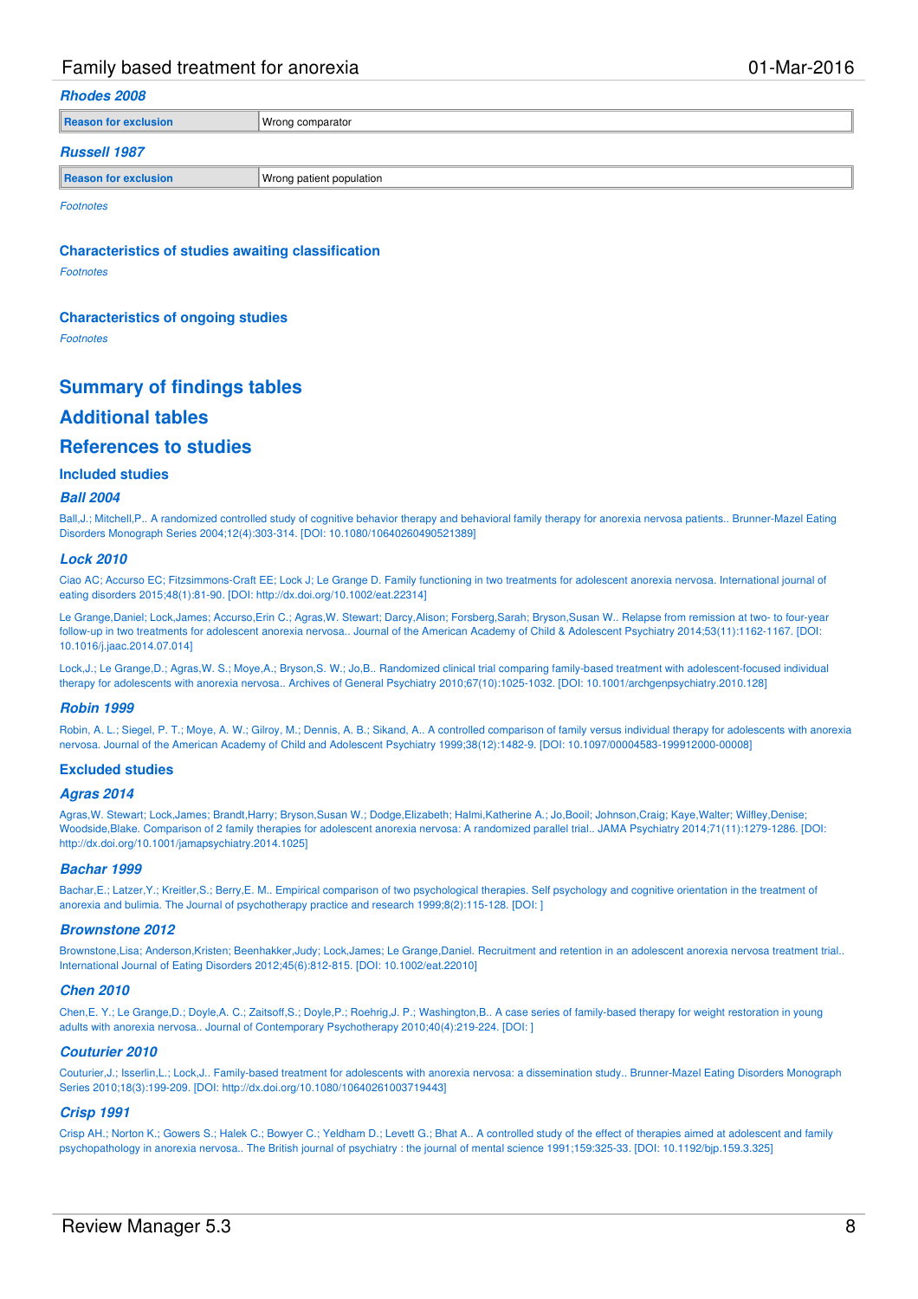#### **Rhodes 2008**

**Reason for exclusion** Wrong comparator

#### **Russell 1987**

**Reason for exclusion Wrong patient population** 

Footnotes

### **Characteristics of studies awaiting classification**

Footnotes

#### **Characteristics of ongoing studies**

Footnotes

# **Summary of findings tables**

### **Additional tables**

### **References to studies**

#### **Included studies**

#### **Ball 2004**

Ball,J.; Mitchell,P.. A randomized controlled study of cognitive behavior therapy and behavioral family therapy for anorexia nervosa patients.. Brunner-Mazel Eating Disorders Monograph Series 2004;12(4):303-314. [DOI: 10.1080/10640260490521389]

#### **Lock 2010**

Ciao AC; Accurso EC; Fitzsimmons-Craft EE; Lock J; Le Grange D. Family functioning in two treatments for adolescent anorexia nervosa. International journal of eating disorders 2015;48(1):81-90. [DOI: http://dx.doi.org/10.1002/eat.22314]

Le Grange,Daniel; Lock,James; Accurso,Erin C.; Agras,W. Stewart; Darcy,Alison; Forsberg,Sarah; Bryson,Susan W.. Relapse from remission at two- to four-year follow-up in two treatments for adolescent anorexia nervosa.. Journal of the American Academy of Child & Adolescent Psychiatry 2014;53(11):1162-1167. [DOI: 10.1016/j.jaac.2014.07.014]

Lock,J.; Le Grange,D.; Agras,W. S.; Moye,A.; Bryson,S. W.; Jo,B.. Randomized clinical trial comparing family-based treatment with adolescent-focused individual therapy for adolescents with anorexia nervosa.. Archives of General Psychiatry 2010;67(10):1025-1032. [DOI: 10.1001/archgenpsychiatry.2010.128]

#### **Robin 1999**

Robin, A. L.; Siegel, P. T.; Moye, A. W.; Gilroy, M.; Dennis, A. B.; Sikand, A.. A controlled comparison of family versus individual therapy for adolescents with anorexia nervosa. Journal of the American Academy of Child and Adolescent Psychiatry 1999;38(12):1482-9. [DOI: 10.1097/00004583-199912000-00008]

#### **Excluded studies**

#### **Agras 2014**

Agras,W. Stewart; Lock,James; Brandt,Harry; Bryson,Susan W.; Dodge,Elizabeth; Halmi,Katherine A.; Jo,Booil; Johnson,Craig; Kaye,Walter; Wilfley,Denise; Woodside,Blake. Comparison of 2 family therapies for adolescent anorexia nervosa: A randomized parallel trial.. JAMA Psychiatry 2014;71(11):1279-1286. [DOI: http://dx.doi.org/10.1001/jamapsychiatry.2014.1025]

#### **Bachar 1999**

Bachar, E.; Latzer, Y.; Kreitler, S.; Berry, E. M.. Empirical comparison of two psychological therapies. Self psychology and cognitive orientation in the treatment of anorexia and bulimia. The Journal of psychotherapy practice and research 1999;8(2):115-128. [DOI: ]

#### **Brownstone 2012**

Brownstone,Lisa; Anderson,Kristen; Beenhakker,Judy; Lock,James; Le Grange,Daniel. Recruitment and retention in an adolescent anorexia nervosa treatment trial. International Journal of Eating Disorders 2012;45(6):812-815. [DOI: 10.1002/eat.22010]

#### **Chen 2010**

Chen,E. Y.; Le Grange,D.; Doyle,A. C.; Zaitsoff,S.; Doyle,P.; Roehrig,J. P.; Washington,B.. A case series of family-based therapy for weight restoration in young adults with anorexia nervosa.. Journal of Contemporary Psychotherapy 2010;40(4):219-224. [DOI: ]

#### **Couturier 2010**

Couturier,J.; Isserlin,L.; Lock,J.. Family-based treatment for adolescents with anorexia nervosa: a dissemination study.. Brunner-Mazel Eating Disorders Monograph Series 2010;18(3):199-209. [DOI: http://dx.doi.org/10.1080/10640261003719443]

#### **Crisp 1991**

Crisp AH.; Norton K.; Gowers S.; Halek C.; Bowyer C.; Yeldham D.; Levett G.; Bhat A.. A controlled study of the effect of therapies aimed at adolescent and family psychopathology in anorexia nervosa.. The British journal of psychiatry : the journal of mental science 1991;159:325-33. [DOI: 10.1192/bjp.159.3.325]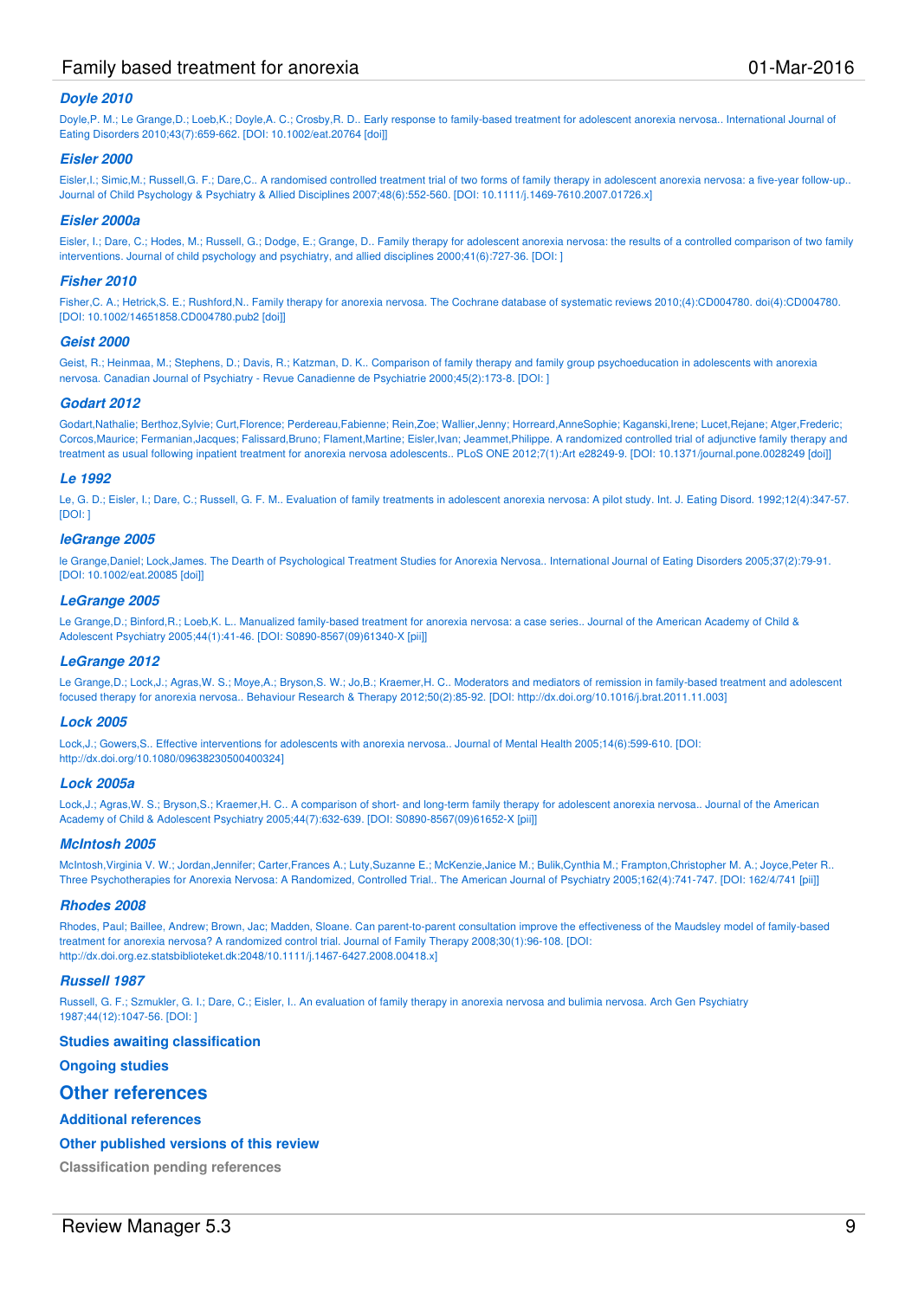#### **Doyle 2010**

Doyle,P. M.; Le Grange,D.; Loeb,K.; Doyle,A. C.; Crosby,R. D.. Early response to family-based treatment for adolescent anorexia nervosa.. International Journal of Eating Disorders 2010;43(7):659-662. [DOI: 10.1002/eat.20764 [doi]]

#### **Eisler 2000**

Eisler,I.; Simic,M.; Russell,G. F.; Dare,C.. A randomised controlled treatment trial of two forms of family therapy in adolescent anorexia nervosa: a five-year follow-up.. Journal of Child Psychology & Psychiatry & Allied Disciplines 2007;48(6):552-560. [DOI: 10.1111/j.1469-7610.2007.01726.x]

#### **Eisler 2000a**

Eisler, I.; Dare, C.; Hodes, M.; Russell, G.; Dodge, E.; Grange, D.. Family therapy for adolescent anorexia nervosa: the results of a controlled comparison of two family interventions. Journal of child psychology and psychiatry, and allied disciplines 2000;41(6):727-36. [DOI: ]

#### **Fisher 2010**

Fisher,C. A.; Hetrick,S. E.; Rushford,N.. Family therapy for anorexia nervosa. The Cochrane database of systematic reviews 2010;(4):CD004780. doi(4):CD004780. [DOI: 10.1002/14651858.CD004780.pub2 [doi]]

#### **Geist 2000**

Geist, R.; Heinmaa, M.; Stephens, D.; Davis, R.; Katzman, D. K.. Comparison of family therapy and family group psychoeducation in adolescents with anorexia nervosa. Canadian Journal of Psychiatry - Revue Canadienne de Psychiatrie 2000;45(2):173-8. [DOI: ]

#### **Godart 2012**

Godart,Nathalie; Berthoz,Sylvie; Curt,Florence; Perdereau,Fabienne; Rein,Zoe; Wallier,Jenny; Horreard,AnneSophie; Kaganski,Irene; Lucet,Rejane; Atger,Frederic; Corcos,Maurice; Fermanian,Jacques; Falissard,Bruno; Flament,Martine; Eisler,Ivan; Jeammet,Philippe. A randomized controlled trial of adjunctive family therapy and treatment as usual following inpatient treatment for anorexia nervosa adolescents.. PLoS ONE 2012;7(1):Art e28249-9. [DOI: 10.1371/journal.pone.0028249 [doi]]

#### **Le 1992**

Le, G. D.; Eisler, I.; Dare, C.; Russell, G. F. M.. Evaluation of family treatments in adolescent anorexia nervosa: A pilot study. Int. J. Eating Disord. 1992;12(4):347-57. [DOI: ]

#### **leGrange 2005**

le Grange,Daniel; Lock,James. The Dearth of Psychological Treatment Studies for Anorexia Nervosa.. International Journal of Eating Disorders 2005;37(2):79-91. [DOI: 10.1002/eat.20085 [doi]]

#### **LeGrange 2005**

Le Grange,D.; Binford,R.; Loeb,K. L.. Manualized family-based treatment for anorexia nervosa: a case series.. Journal of the American Academy of Child & Adolescent Psychiatry 2005;44(1):41-46. [DOI: S0890-8567(09)61340-X [pii]]

#### **LeGrange 2012**

Le Grange,D.; Lock,J.; Agras,W. S.; Moye,A.; Bryson,S. W.; Jo,B.; Kraemer,H. C.. Moderators and mediators of remission in family-based treatment and adolescent focused therapy for anorexia nervosa.. Behaviour Research & Therapy 2012;50(2):85-92. [DOI: http://dx.doi.org/10.1016/j.brat.2011.11.003]

#### **Lock 2005**

Lock,J.; Gowers,S.. Effective interventions for adolescents with anorexia nervosa.. Journal of Mental Health 2005;14(6):599-610. [DOI: http://dx.doi.org/10.1080/09638230500400324]

#### **Lock 2005a**

Lock,J.; Agras,W. S.; Bryson,S.; Kraemer,H. C.. A comparison of short- and long-term family therapy for adolescent anorexia nervosa.. Journal of the American Academy of Child & Adolescent Psychiatry 2005;44(7):632-639. [DOI: S0890-8567(09)61652-X [pii]]

#### **McIntosh 2005**

McIntosh,Virginia V. W.; Jordan,Jennifer; Carter,Frances A.; Luty,Suzanne E.; McKenzie,Janice M.; Bulik,Cynthia M.; Frampton,Christopher M. A.; Joyce,Peter R.. Three Psychotherapies for Anorexia Nervosa: A Randomized, Controlled Trial.. The American Journal of Psychiatry 2005;162(4):741-747. [DOI: 162/4/741 [pii]]

#### **Rhodes 2008**

Rhodes, Paul; Baillee, Andrew; Brown, Jac; Madden, Sloane. Can parent-to-parent consultation improve the effectiveness of the Maudsley model of family-based treatment for anorexia nervosa? A randomized control trial. Journal of Family Therapy 2008;30(1):96-108. [DOI: http://dx.doi.org.ez.statsbiblioteket.dk:2048/10.1111/j.1467-6427.2008.00418.x]

#### **Russell 1987**

Russell, G. F.; Szmukler, G. I.; Dare, C.; Eisler, I.. An evaluation of family therapy in anorexia nervosa and bulimia nervosa. Arch Gen Psychiatry 1987;44(12):1047-56. [DOI: ]

#### **Studies awaiting classification**

#### **Ongoing studies**

#### **Other references**

#### **Additional references**

**Other published versions of this review**

**Classification pending references**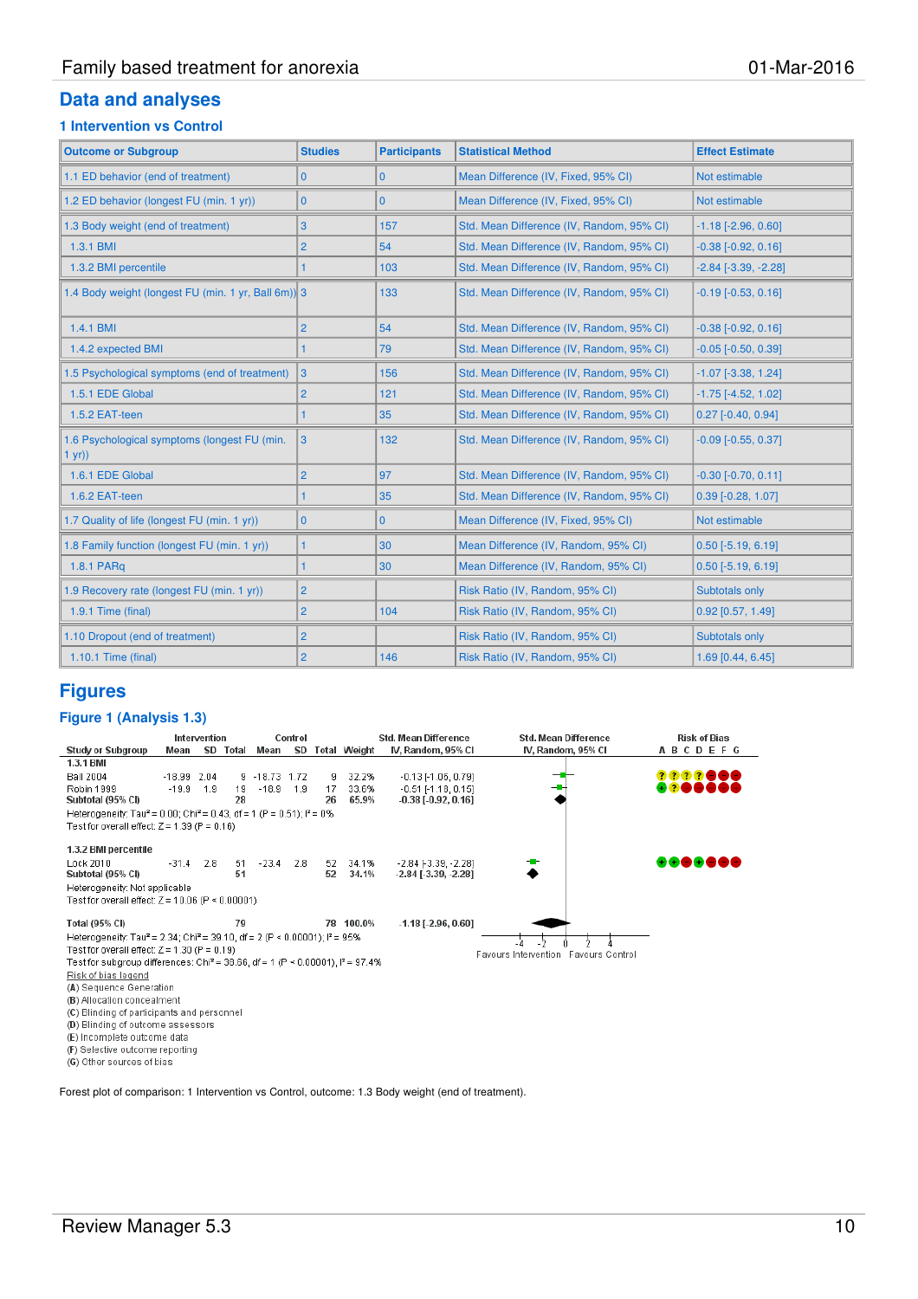# **Data and analyses**

### **1 Intervention vs Control**

| <b>Outcome or Subgroup</b>                            | <b>Studies</b> | <b>Participants</b> | <b>Statistical Method</b>                 | <b>Effect Estimate</b>       |
|-------------------------------------------------------|----------------|---------------------|-------------------------------------------|------------------------------|
| 1.1 ED behavior (end of treatment)                    | 0              | $\mathbf{0}$        | Mean Difference (IV, Fixed, 95% CI)       | Not estimable                |
| 1.2 ED behavior (longest FU (min. 1 yr))              | 0              | $\mathbf{0}$        | Mean Difference (IV, Fixed, 95% CI)       | Not estimable                |
| 1.3 Body weight (end of treatment)                    | 3              | 157                 | Std. Mean Difference (IV, Random, 95% CI) | $-1.18$ [ $-2.96, 0.60$ ]    |
| 1.3.1 BMI                                             | $\overline{2}$ | 54                  | Std. Mean Difference (IV, Random, 95% CI) | $-0.38$ $[-0.92, 0.16]$      |
| 1.3.2 BMI percentile                                  |                | 103                 | Std. Mean Difference (IV, Random, 95% CI) | $-2.84$ $[-3.39, -2.28]$     |
| 1.4 Body weight (longest FU (min. 1 yr, Ball 6m)) 3   |                | 133                 | Std. Mean Difference (IV, Random, 95% CI) | $-0.19$ $[-0.53, 0.16]$      |
| 1.4.1 BMI                                             | $\overline{2}$ | 54                  | Std. Mean Difference (IV, Random, 95% CI) | $-0.38$ $[-0.92, 0.16]$      |
| 1.4.2 expected BMI                                    |                | 79                  | Std. Mean Difference (IV, Random, 95% CI) | $-0.05$ $[-0.50, 0.39]$      |
| 1.5 Psychological symptoms (end of treatment)         | 3              | 156                 | Std. Mean Difference (IV, Random, 95% CI) | $-1.07$ [ $-3.38, 1.24$ ]    |
| 1.5.1 EDE Global                                      | $\overline{2}$ | 121                 | Std. Mean Difference (IV, Random, 95% CI) | $-1.75$ [ $-4.52$ , $1.02$ ] |
| 1.5.2 EAT-teen                                        |                | 35                  | Std. Mean Difference (IV, Random, 95% CI) | $0.27$ [-0.40, 0.94]         |
| 1.6 Psychological symptoms (longest FU (min.<br>1(yr) | 3              | 132                 | Std. Mean Difference (IV, Random, 95% CI) | $-0.09$ $[-0.55, 0.37]$      |
| 1.6.1 EDE Global                                      | $\overline{2}$ | 97                  | Std. Mean Difference (IV, Random, 95% CI) | $-0.30$ $[-0.70, 0.11]$      |
| 1.6.2 EAT-teen                                        |                | 35                  | Std. Mean Difference (IV, Random, 95% CI) | $0.39$ [-0.28, 1.07]         |
| 1.7 Quality of life (longest FU (min. 1 yr))          | 0              | $\bf{0}$            | Mean Difference (IV, Fixed, 95% CI)       | Not estimable                |
| 1.8 Family function (longest FU (min. 1 yr))          |                | 30                  | Mean Difference (IV, Random, 95% CI)      | $0.50$ [-5.19, 6.19]         |
| 1.8.1 PARq                                            |                | 30                  | Mean Difference (IV, Random, 95% CI)      | $0.50$ [-5.19, 6.19]         |
| 1.9 Recovery rate (longest FU (min. 1 yr))            | $\overline{2}$ |                     | Risk Ratio (IV, Random, 95% CI)           | Subtotals only               |
| 1.9.1 Time (final)                                    | $\overline{2}$ | 104                 | Risk Ratio (IV, Random, 95% CI)           | $0.92$ [0.57, 1.49]          |
| 1.10 Dropout (end of treatment)                       | $\overline{2}$ |                     | Risk Ratio (IV, Random, 95% CI)           | Subtotals only               |
| 1.10.1 Time (final)                                   | $\overline{2}$ | 146                 | Risk Ratio (IV, Random, 95% CI)           | 1.69 [0.44, 6.45]            |

# **Figures**

### **Figure 1 (Analysis 1.3)**

|                                                                                                    | Intervention  |     | Control  |             |      |    |                 | Std. Mean Difference          | Std. Mean Difference                 | <b>Risk of Bias</b> |
|----------------------------------------------------------------------------------------------------|---------------|-----|----------|-------------|------|----|-----------------|-------------------------------|--------------------------------------|---------------------|
| <b>Study or Subgroup</b>                                                                           | Mean          |     | SD Total | Mean        |      |    | SD Total Weight | IV, Random, 95% CI            | IV, Random, 95% CI                   | <b>ABCDEFG</b>      |
| 1.3.1 BMI                                                                                          |               |     |          |             |      |    |                 |                               |                                      |                     |
| <b>Ball 2004</b>                                                                                   | $-18.99$ 2.04 |     |          | $9 - 18.73$ | 1.72 | 9  | 32.2%           | $-0.13$ [-1.06, 0.79]         |                                      | 8888 <b>888</b>     |
| <b>Robin 1999</b>                                                                                  | $-19.9$       | 1.9 | 19       | $-18.9$     | 1.9  | 17 | 33.6%           | $-0.51$ $[-1.18, 0.15]$       |                                      | $-171$              |
| Subtotal (95% CI)                                                                                  |               |     | 28       |             |      | 26 | 65.9%           | $-0.38$ [ $-0.92$ , $0.16$ ]  |                                      |                     |
| Heterogeneity: Tau <sup>2</sup> = 0.00; Chi <sup>2</sup> = 0.43, df = 1 (P = 0.51); $P = 0\%$      |               |     |          |             |      |    |                 |                               |                                      |                     |
| Test for overall effect: $Z = 1.39$ (P = 0.16)                                                     |               |     |          |             |      |    |                 |                               |                                      |                     |
|                                                                                                    |               |     |          |             |      |    |                 |                               |                                      |                     |
| 1.3.2 BMI percentile                                                                               |               |     |          |             |      |    |                 |                               |                                      |                     |
| Lock 2010                                                                                          | $-31.4$       | 2.8 | 51       | $-23.4$     | 2.8  | 52 | 34.1%           | $-2.84$ F3.39, $-2.281$       |                                      | 88 <b>88888</b>     |
| Subtotal (95% CI)                                                                                  |               |     | 51       |             |      | 52 | 34.1%           | $-2.84$ [ $-3.39$ , $-2.28$ ] |                                      |                     |
| Heterogeneity: Not applicable                                                                      |               |     |          |             |      |    |                 |                               |                                      |                     |
| Test for overall effect: $Z = 10.06$ (P < 0.00001)                                                 |               |     |          |             |      |    |                 |                               |                                      |                     |
| Total (95% CI)                                                                                     |               |     | 79       |             |      |    | 78 100.0%       | $-1.18$ [ $-2.96$ , $0.60$ ]  |                                      |                     |
| Heterogeneity: Tau <sup>2</sup> = 2.34; Chi <sup>2</sup> = 39.10, df = 2 (P < 0.00001); $P = 95\%$ |               |     |          |             |      |    |                 |                               |                                      |                     |
| Test for overall effect: $Z = 1.30$ (P = 0.19)                                                     |               |     |          |             |      |    |                 |                               | Favours Intervention Favours Control |                     |
| Test for subgroup differences: Chi <sup>2</sup> = 38.66, df = 1 (P < 0.00001), $P = 97.4\%$        |               |     |          |             |      |    |                 |                               |                                      |                     |
| Risk of bias legend                                                                                |               |     |          |             |      |    |                 |                               |                                      |                     |
| (A) Sequence Generation                                                                            |               |     |          |             |      |    |                 |                               |                                      |                     |
| (B) Allocation concealment                                                                         |               |     |          |             |      |    |                 |                               |                                      |                     |
| (C) Blinding of participants and personnel                                                         |               |     |          |             |      |    |                 |                               |                                      |                     |
| (D) Blinding of outcome assessors                                                                  |               |     |          |             |      |    |                 |                               |                                      |                     |
| (E) incomplete outcome data                                                                        |               |     |          |             |      |    |                 |                               |                                      |                     |
| (F) Selective outcome reporting                                                                    |               |     |          |             |      |    |                 |                               |                                      |                     |
| (G) Other sources of bias                                                                          |               |     |          |             |      |    |                 |                               |                                      |                     |

Forest plot of comparison: 1 Intervention vs Control, outcome: 1.3 Body weight (end of treatment).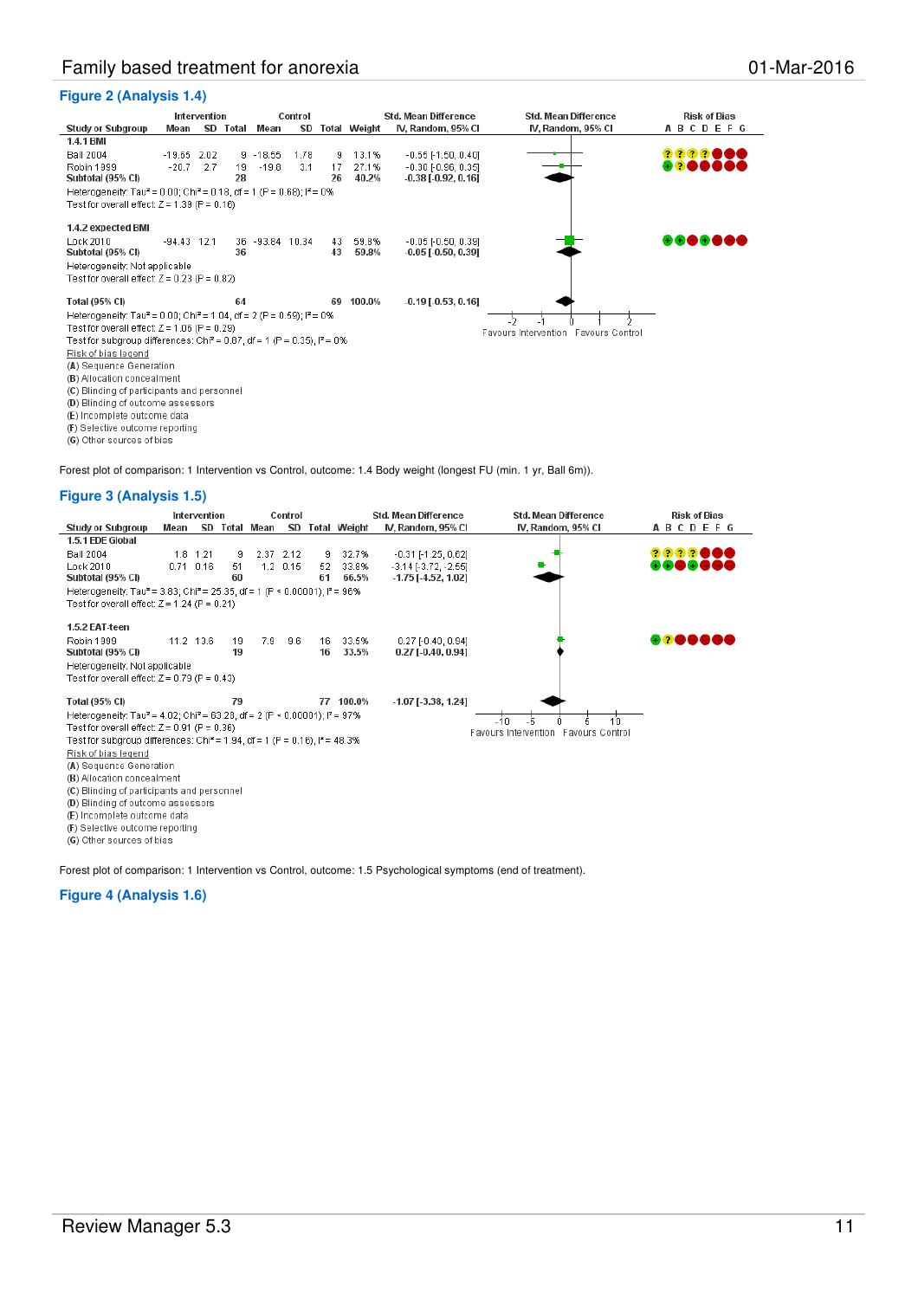### **Figure 2 (Analysis 1.4)**

|                                                                                               | Intervention                               |     | Control |                  |      |    | <b>Std. Mean Difference</b> | <b>Std. Mean Difference</b>  | <b>Risk of Bias</b>                  |                 |  |  |
|-----------------------------------------------------------------------------------------------|--------------------------------------------|-----|---------|------------------|------|----|-----------------------------|------------------------------|--------------------------------------|-----------------|--|--|
| Study or Subgroup                                                                             | Mean                                       | SD. | Total   | Mean             | SD   |    | <b>Total Weight</b>         | IV, Random, 95% CI           | IV, Random, 95% CI                   | <b>ABCDEFG</b>  |  |  |
| 1.4.1 BMI                                                                                     |                                            |     |         |                  |      |    |                             |                              |                                      |                 |  |  |
| <b>Ball 2004</b>                                                                              | $-19.65$ 2.02                              |     |         | $9 - 18.55$      | 1.78 | 9  | 13.1%                       | $-0.55$ [-1.50, 0.40]        |                                      | 2222888         |  |  |
| <b>Robin 1999</b>                                                                             | $-20.7$                                    | 2.7 | 19      | $-19.8$          | 3.1  | 17 | 27.1%                       | $-0.30$ [ $-0.96$ , $0.35$ ] |                                      | 8288888         |  |  |
| Subtotal (95% CI)                                                                             |                                            |     | 28      |                  |      | 26 | 40.2%                       | $-0.38$ [ $-0.92$ , 0.16]    |                                      |                 |  |  |
| Heterogeneity: Tau <sup>2</sup> = 0.00; Chi <sup>2</sup> = 0.18, df = 1 (P = 0.68); $P = 0\%$ |                                            |     |         |                  |      |    |                             |                              |                                      |                 |  |  |
| Test for overall effect: $Z = 1.39$ (P = 0.16)                                                |                                            |     |         |                  |      |    |                             |                              |                                      |                 |  |  |
|                                                                                               |                                            |     |         |                  |      |    |                             |                              |                                      |                 |  |  |
| 1.4.2 expected BMI                                                                            |                                            |     |         |                  |      |    |                             |                              |                                      |                 |  |  |
| Lock 2010                                                                                     | $-94.43$ 12.1                              |     |         | 36 - 93.84 10.34 |      | 43 | 59.8%                       | $-0.05$ [ $-0.50$ , $0.39$ ] |                                      | 88 <b>88888</b> |  |  |
| Subtotal (95% CI)                                                                             |                                            |     | 36      |                  |      | 43 | 59.8%                       | $-0.05$ [ $-0.50$ , $0.39$ ] |                                      |                 |  |  |
| Heterogeneity: Not applicable                                                                 |                                            |     |         |                  |      |    |                             |                              |                                      |                 |  |  |
| Test for overall effect: $Z = 0.23$ (P = 0.82)                                                |                                            |     |         |                  |      |    |                             |                              |                                      |                 |  |  |
| <b>Total (95% CI)</b>                                                                         |                                            |     | 64      |                  |      | 69 | 100.0%                      | $-0.19$ [ $-0.53$ , $0.16$ ] |                                      |                 |  |  |
| Heterogeneity: Tau <sup>2</sup> = 0.00; Chi <sup>2</sup> = 1.04, df = 2 (P = 0.59); $P = 0\%$ |                                            |     |         |                  |      |    |                             |                              |                                      |                 |  |  |
| Test for overall effect: $Z = 1.06$ (P = 0.29)                                                |                                            |     |         |                  |      |    |                             |                              | -2                                   |                 |  |  |
| Test for subgroup differences: Chi <sup>2</sup> = 0.87, df = 1 (P = 0.35), $I^2$ = 0%         |                                            |     |         |                  |      |    |                             |                              | Favours Intervention Favours Control |                 |  |  |
| Risk of bias legend                                                                           |                                            |     |         |                  |      |    |                             |                              |                                      |                 |  |  |
| (A) Sequence Generation                                                                       |                                            |     |         |                  |      |    |                             |                              |                                      |                 |  |  |
| (B) Allocation concealment                                                                    |                                            |     |         |                  |      |    |                             |                              |                                      |                 |  |  |
|                                                                                               | (C) Blinding of participants and personnel |     |         |                  |      |    |                             |                              |                                      |                 |  |  |
| (D) Blinding of outcome assessors                                                             |                                            |     |         |                  |      |    |                             |                              |                                      |                 |  |  |
| (E) incomplete outcome data                                                                   |                                            |     |         |                  |      |    |                             |                              |                                      |                 |  |  |
| (F) Selective outcome reporting                                                               |                                            |     |         |                  |      |    |                             |                              |                                      |                 |  |  |
| (G) Other sources of bias                                                                     |                                            |     |         |                  |      |    |                             |                              |                                      |                 |  |  |

Forest plot of comparison: 1 Intervention vs Control, outcome: 1.4 Body weight (longest FU (min. 1 yr, Ball 6m)).

#### **Figure 3 (Analysis 1.5)**



(C) Blinding of participants and personnel

(D) Blinding of outcome assessors (E) Incomplete outcome data

(F) Selective outcome reporting (G) Other sources of bias

Forest plot of comparison: 1 Intervention vs Control, outcome: 1.5 Psychological symptoms (end of treatment).

#### **Figure 4 (Analysis 1.6)**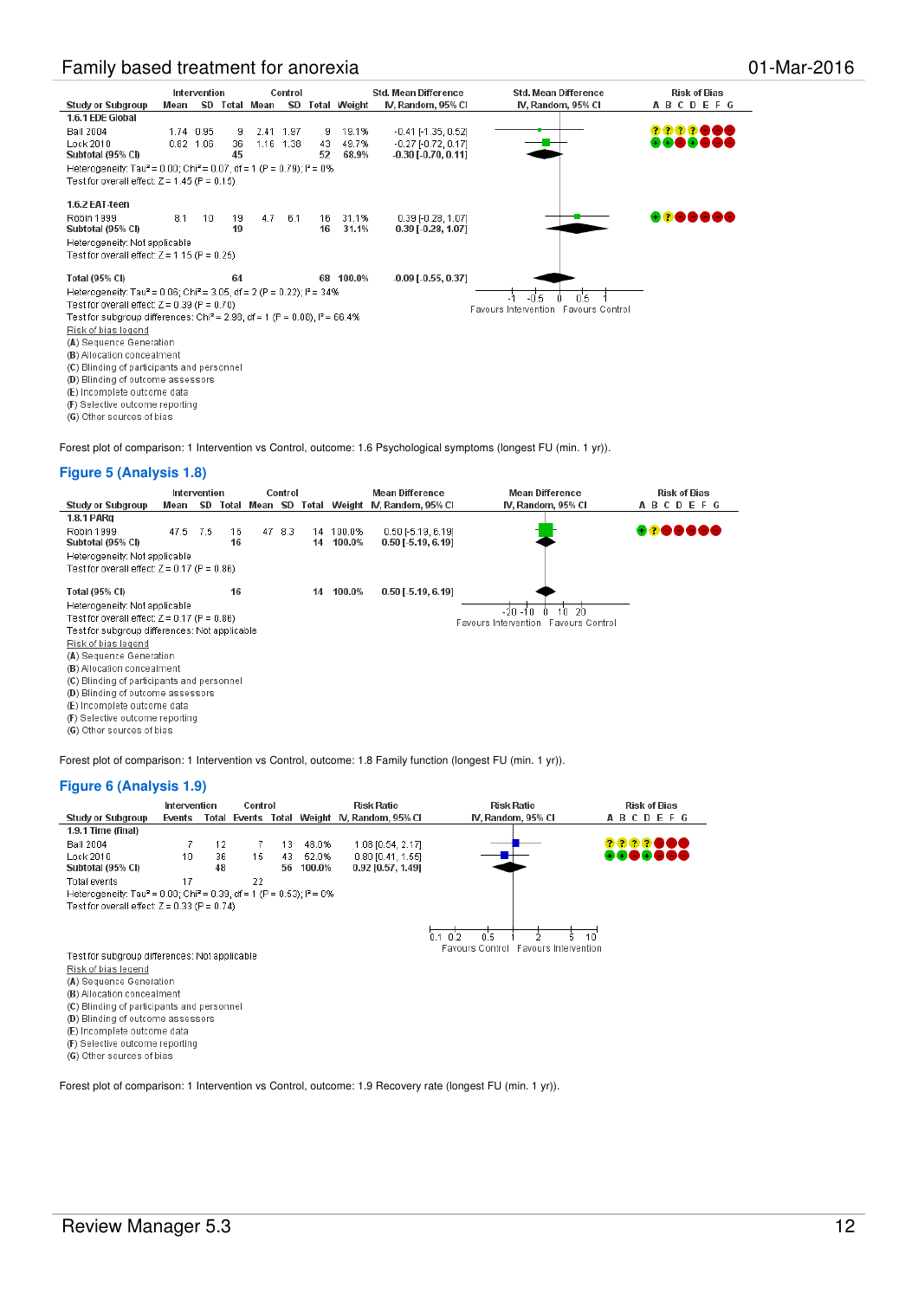

Forest plot of comparison: 1 Intervention vs Control, outcome: 1.6 Psychological symptoms (longest FU (min. 1 yr)).

#### **Figure 5 (Analysis 1.8)**

(E) Incomplete outcome data (F) Selective outcome reporting (G) Other sources of bias

|                                                     | Intervention |    | Control |                     |        |    | <b>Mean Difference</b> | <b>Mean Difference</b>    | <b>Risk of Bias</b>                             |                |  |
|-----------------------------------------------------|--------------|----|---------|---------------------|--------|----|------------------------|---------------------------|-------------------------------------------------|----------------|--|
| <b>Study or Subgroup</b>                            | Mean         | SD |         | Total Mean SD Total |        |    |                        | Weight IV, Random, 95% CI | IV, Random, 95% CI                              | <b>ABCDEFG</b> |  |
| 1.8.1 PARq                                          |              |    |         |                     |        |    |                        |                           |                                                 |                |  |
| Robin 1999                                          | 47.5 7.5     |    | 16      |                     | 47 8.3 | 14 | 100.0%                 | $0.50$ [-5.19, 6.19]      |                                                 | 8288888        |  |
| Subtotal (95% CI)                                   |              |    | 16      |                     |        | 14 | 100.0%                 | $0.50$ [ $-5.19, 6.19$ ]  |                                                 |                |  |
| Heterogeneity: Not applicable                       |              |    |         |                     |        |    |                        |                           |                                                 |                |  |
| Test for overall effect: $Z = 0.17$ (P = 0.86)      |              |    |         |                     |        |    |                        |                           |                                                 |                |  |
| Total (95% CI)                                      |              |    | 16      |                     |        | 14 | 100.0%                 | $0.50$ [ $-5.19, 6.19$ ]  |                                                 |                |  |
| Heterogeneity: Not applicable<br>- 20<br>$-20 - 10$ |              |    |         |                     |        |    |                        |                           |                                                 |                |  |
| Test for overall effect: $Z = 0.17$ (P = 0.86)      |              |    |         |                     |        |    |                        |                           | 10<br>0<br>Favours Intervention Favours Control |                |  |
| Test for subgroup differences: Not applicable.      |              |    |         |                     |        |    |                        |                           |                                                 |                |  |
| Risk of bias legend                                 |              |    |         |                     |        |    |                        |                           |                                                 |                |  |
| (A) Sequence Generation                             |              |    |         |                     |        |    |                        |                           |                                                 |                |  |
| (B) Allocation concealment                          |              |    |         |                     |        |    |                        |                           |                                                 |                |  |
| (C) Blinding of participants and personnel          |              |    |         |                     |        |    |                        |                           |                                                 |                |  |
| (D) Blinding of outcome assessors                   |              |    |         |                     |        |    |                        |                           |                                                 |                |  |
| (E) Incomplete outcome data                         |              |    |         |                     |        |    |                        |                           |                                                 |                |  |
| (F) Selective outcome reporting                     |              |    |         |                     |        |    |                        |                           |                                                 |                |  |
| (G) Other sources of bias                           |              |    |         |                     |        |    |                        |                           |                                                 |                |  |

Forest plot of comparison: 1 Intervention vs Control, outcome: 1.8 Family function (longest FU (min. 1 yr)).

#### **Figure 6 (Analysis 1.9)**

|                                                                                                                                                                 | Intervention |          | Control |          | <b>Risk Ratio</b> |                                          | <b>Risk Ratio</b>                                         | <b>Risk of Bias</b> |
|-----------------------------------------------------------------------------------------------------------------------------------------------------------------|--------------|----------|---------|----------|-------------------|------------------------------------------|-----------------------------------------------------------|---------------------|
| <b>Study or Subgroup</b>                                                                                                                                        | Events       | Total    |         |          |                   | Events Total Weight IV, Random, 95% Cl   | IV, Random, 95% CI                                        | <b>ABCDEFG</b>      |
| 1.9.1 Time (final)                                                                                                                                              |              |          |         |          |                   |                                          |                                                           |                     |
| <b>Ball 2004</b>                                                                                                                                                | 7            | 12       |         | 13       | 48.0%             | 1.08 [0.54, 2.17]                        |                                                           |                     |
| Lock 2010<br>Subtotal (95% CI)                                                                                                                                  | 10           | 36<br>48 | 15      | 43<br>56 | 52.0%<br>100.0%   | $0.80$ [0.41, 1.55]<br>0.92 [0.57, 1.49] |                                                           | 88 <b>88888</b>     |
| Total events<br>Heterogeneity: Tau <sup>2</sup> = 0.00; Chi <sup>2</sup> = 0.39, df = 1 (P = 0.53); $P = 0\%$<br>Test for overall effect: $Z = 0.33$ (P = 0.74) | 17           |          | 22      |          |                   |                                          |                                                           |                     |
|                                                                                                                                                                 |              |          |         |          |                   |                                          | 0.5<br>'n1<br>ብ 2<br>Favours Control Favours Intervention | 10                  |
| Test for subgroup differences: Not applicable                                                                                                                   |              |          |         |          |                   |                                          |                                                           |                     |
| Risk of bias legend                                                                                                                                             |              |          |         |          |                   |                                          |                                                           |                     |
| (A) Sequence Generation                                                                                                                                         |              |          |         |          |                   |                                          |                                                           |                     |
| (B) Allocation concealment                                                                                                                                      |              |          |         |          |                   |                                          |                                                           |                     |
| (C) Blinding of participants and personnel                                                                                                                      |              |          |         |          |                   |                                          |                                                           |                     |

(D) Blinding of outcome assessors

(E) Incomplete outcome data

(F) Selective outcome reporting

(G) Other sources of bias

Forest plot of comparison: 1 Intervention vs Control, outcome: 1.9 Recovery rate (longest FU (min. 1 yr)).